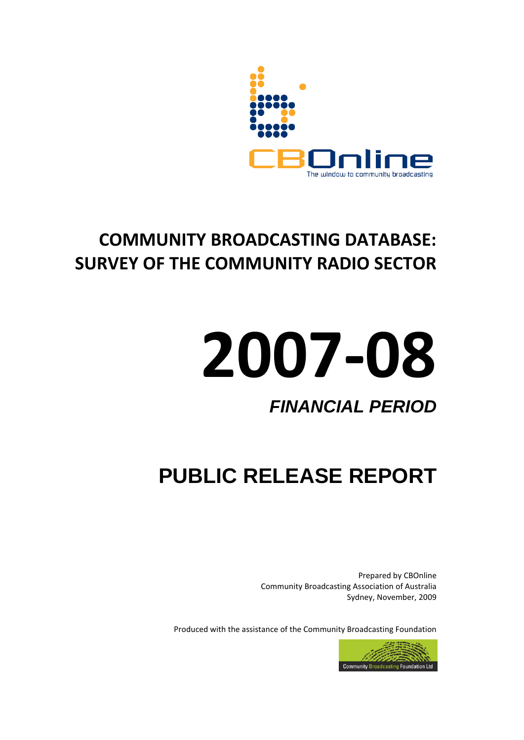

# **COMMUNITY BROADCASTING DATABASE: SURVEY OF THE COMMUNITY RADIO SECTOR**

# **2007-08**

# *FINANCIAL PERIOD*

# **PUBLIC RELEASE REPORT**

Prepared by CBOnline Community Broadcasting Association of Australia Sydney, November, 2009

Produced with the assistance of the Community Broadcasting Foundation

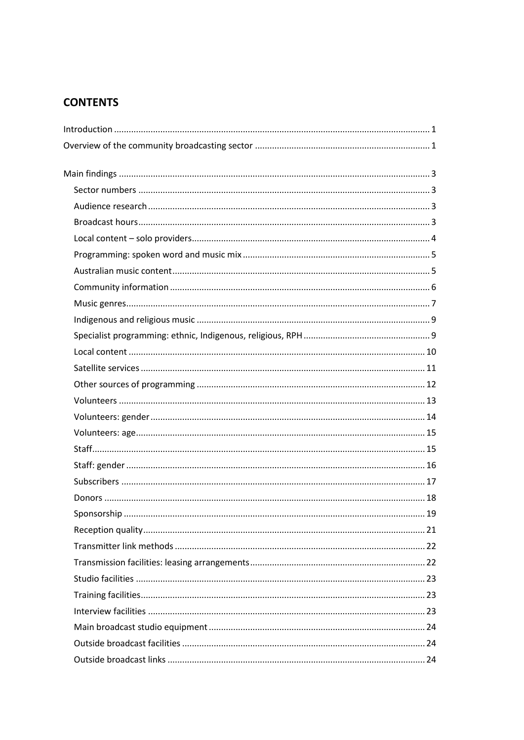#### **CONTENTS**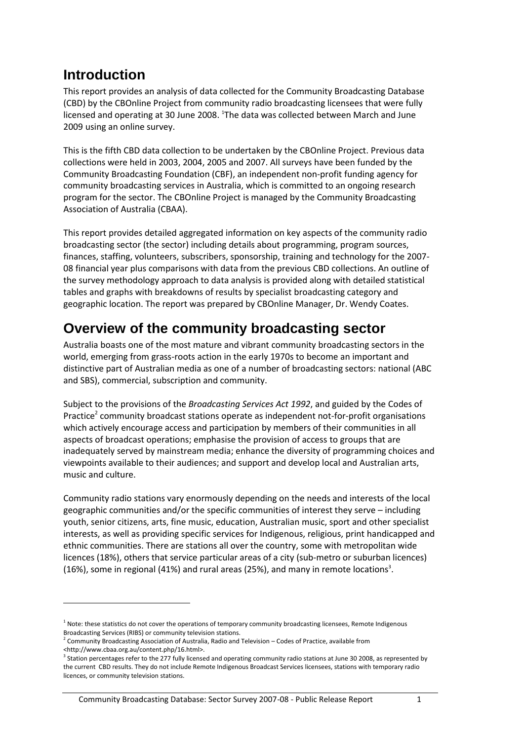## <span id="page-4-0"></span>**Introduction**

1

This report provides an analysis of data collected for the Community Broadcasting Database (CBD) by the CBOnline Project from community radio broadcasting licensees that were fully licensed and operating at 30 June 2008. <sup>1</sup>The data was collected between March and June 2009 using an online survey.

This is the fifth CBD data collection to be undertaken by the CBOnline Project. Previous data collections were held in 2003, 2004, 2005 and 2007. All surveys have been funded by the Community Broadcasting Foundation (CBF), an independent non-profit funding agency for community broadcasting services in Australia, which is committed to an ongoing research program for the sector. The CBOnline Project is managed by the Community Broadcasting Association of Australia (CBAA).

This report provides detailed aggregated information on key aspects of the community radio broadcasting sector (the sector) including details about programming, program sources, finances, staffing, volunteers, subscribers, sponsorship, training and technology for the 2007- 08 financial year plus comparisons with data from the previous CBD collections. An outline of the survey methodology approach to data analysis is provided along with detailed statistical tables and graphs with breakdowns of results by specialist broadcasting category and geographic location. The report was prepared by CBOnline Manager, Dr. Wendy Coates.

## <span id="page-4-1"></span>**Overview of the community broadcasting sector**

Australia boasts one of the most mature and vibrant community broadcasting sectors in the world, emerging from grass-roots action in the early 1970s to become an important and distinctive part of Australian media as one of a number of broadcasting sectors: national (ABC and SBS), commercial, subscription and community.

Subject to the provisions of the *Broadcasting Services Act 1992*, and guided by the Codes of Practice<sup>2</sup> community broadcast stations operate as independent not-for-profit organisations which actively encourage access and participation by members of their communities in all aspects of broadcast operations; emphasise the provision of access to groups that are inadequately served by mainstream media; enhance the diversity of programming choices and viewpoints available to their audiences; and support and develop local and Australian arts, music and culture.

Community radio stations vary enormously depending on the needs and interests of the local geographic communities and/or the specific communities of interest they serve – including youth, senior citizens, arts, fine music, education, Australian music, sport and other specialist interests, as well as providing specific services for Indigenous, religious, print handicapped and ethnic communities. There are stations all over the country, some with metropolitan wide licences (18%), others that service particular areas of a city (sub-metro or suburban licences) (16%), some in regional (41%) and rural areas (25%), and many in remote locations<sup>3</sup>.

<sup>&</sup>lt;sup>1</sup> Note: these statistics do not cover the operations of temporary community broadcasting licensees, Remote Indigenous Broadcasting Services (RIBS) or community television stations.

 $2$  Community Broadcasting Association of Australia, Radio and Television – Codes of Practice, available from [<http://www.cbaa.org.au/content.php/16.html>](http://www.cbaa.org.au/content.php/16.html).

<sup>&</sup>lt;sup>3</sup> Station percentages refer to the 277 fully licensed and operating community radio stations at June 30 2008, as represented by the current CBD results. They do not include Remote Indigenous Broadcast Services licensees, stations with temporary radio licences, or community television stations.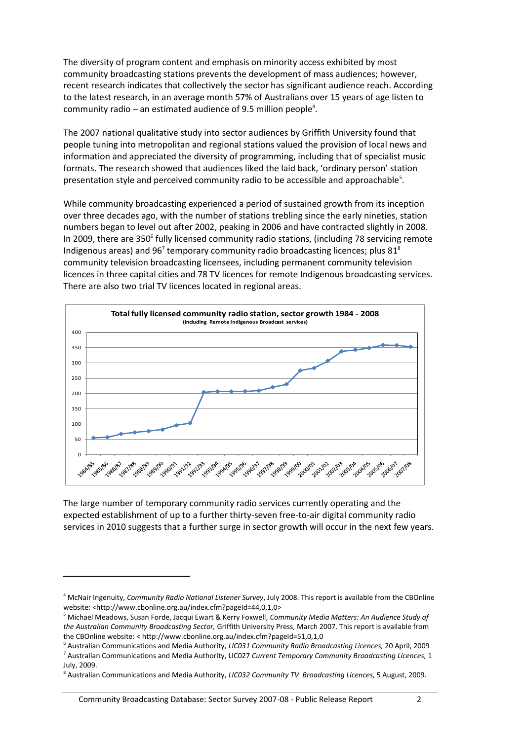The diversity of program content and emphasis on minority access exhibited by most community broadcasting stations prevents the development of mass audiences; however, recent research indicates that collectively the sector has significant audience reach. According to the latest research, in an average month 57% of Australians over 15 years of age listen to community radio  $-$  an estimated audience of 9.5 million people<sup>4</sup>.

The 2007 national qualitative study into sector audiences by Griffith University found that people tuning into metropolitan and regional stations valued the provision of local news and information and appreciated the diversity of programming, including that of specialist music formats. The research showed that audiences liked the laid back, 'ordinary person' station presentation style and perceived community radio to be accessible and approachable<sup>5</sup>.

While community broadcasting experienced a period of sustained growth from its inception over three decades ago, with the number of stations trebling since the early nineties, station numbers began to level out after 2002, peaking in 2006 and have contracted slightly in 2008. In 2009, there are 350<sup>6</sup> fully licensed community radio stations, (including 78 servicing remote Indigenous areas) and  $96<sup>7</sup>$  temporary community radio broadcasting licences; plus 81<sup>8</sup> community television broadcasting licensees, including permanent community television licences in three capital cities and 78 TV licences for remote Indigenous broadcasting services. There are also two trial TV licences located in regional areas.



The large number of temporary community radio services currently operating and the expected establishment of up to a further thirty-seven free-to-air digital community radio services in 2010 suggests that a further surge in sector growth will occur in the next few years.

**.** 

<sup>4</sup> McNair Ingenuity, *Community Radio National Listener Survey*, July 2008. This report is available from the CBOnline website: <http://www.cbonline.org.au/index.cfm?pageId=44,0,1,0>

<sup>5</sup> Michael Meadows, Susan Forde, Jacqui Ewart & Kerry Foxwell, *Community Media Matters: An Audience Study of the Australian Community Broadcasting Sector,* Griffith University Press, March 2007. This report is available from the CBOnline website: < http://www.cbonline.org.au/index.cfm?pageId=51,0,1,0

<sup>6</sup> Australian Communications and Media Authority, *LIC031 Community Radio Broadcasting Licences,* 20 April, 2009 7 Australian Communications and Media Authority, LIC027 *Current Temporary Community Broadcasting Licences,* 1 July, 2009.

<sup>8</sup> Australian Communications and Media Authority, *LIC032 Community TV Broadcasting Licences,* 5 August, 2009.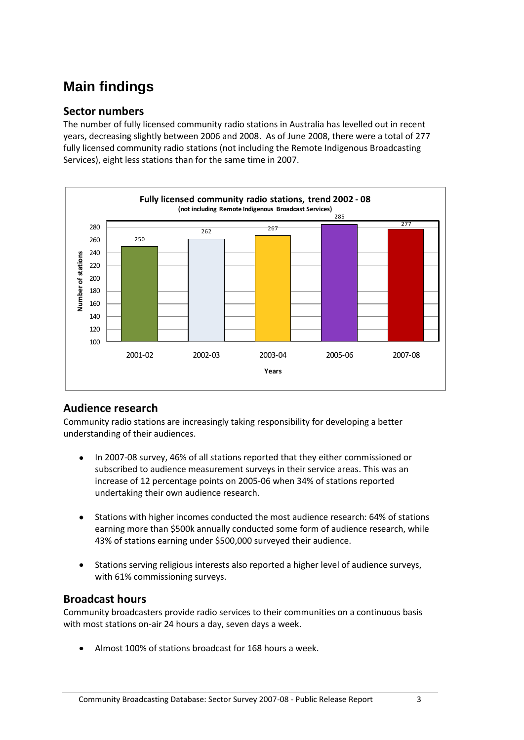# <span id="page-6-0"></span>**Main findings**

#### <span id="page-6-1"></span>**Sector numbers**

The number of fully licensed community radio stations in Australia has levelled out in recent years, decreasing slightly between 2006 and 2008. As of June 2008, there were a total of 277 fully licensed community radio stations (not including the Remote Indigenous Broadcasting Services), eight less stations than for the same time in 2007.



#### <span id="page-6-2"></span>**Audience research**

Community radio stations are increasingly taking responsibility for developing a better understanding of their audiences.

- In 2007-08 survey, 46% of all stations reported that they either commissioned or  $\bullet$ subscribed to audience measurement surveys in their service areas. This was an increase of 12 percentage points on 2005-06 when 34% of stations reported undertaking their own audience research.
- $\bullet$ Stations with higher incomes conducted the most audience research: 64% of stations earning more than \$500k annually conducted some form of audience research, while 43% of stations earning under \$500,000 surveyed their audience.
- Stations serving religious interests also reported a higher level of audience surveys, with 61% commissioning surveys.

#### <span id="page-6-3"></span>**Broadcast hours**

Community broadcasters provide radio services to their communities on a continuous basis with most stations on-air 24 hours a day, seven days a week.

Almost 100% of stations broadcast for 168 hours a week.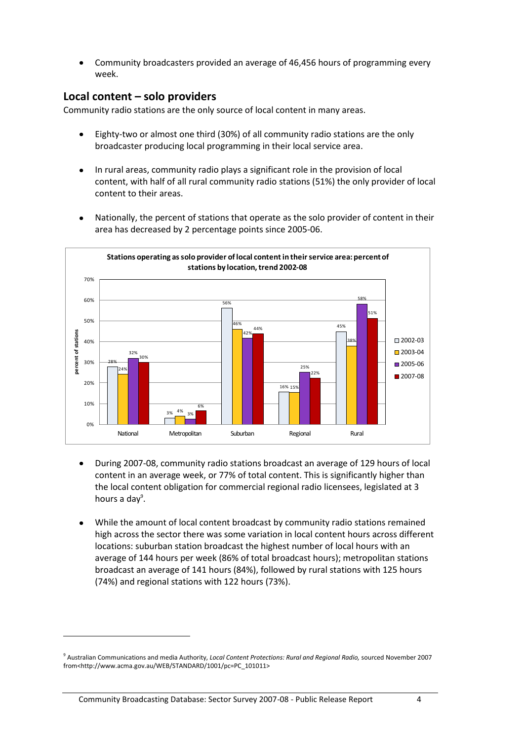Community broadcasters provided an average of 46,456 hours of programming every week.

#### <span id="page-7-0"></span>**Local content – solo providers**

Community radio stations are the only source of local content in many areas.

- Eighty-two or almost one third (30%) of all community radio stations are the only broadcaster producing local programming in their local service area.
- $\bullet$ In rural areas, community radio plays a significant role in the provision of local content, with half of all rural community radio stations (51%) the only provider of local content to their areas.
- Nationally, the percent of stations that operate as the solo provider of content in their area has decreased by 2 percentage points since 2005-06.



- During 2007-08, community radio stations broadcast an average of 129 hours of local content in an average week, or 77% of total content. This is significantly higher than the local content obligation for commercial regional radio licensees, legislated at 3 hours a day<sup>9</sup>.
- While the amount of local content broadcast by community radio stations remained high across the sector there was some variation in local content hours across different locations: suburban station broadcast the highest number of local hours with an average of 144 hours per week (86% of total broadcast hours); metropolitan stations broadcast an average of 141 hours (84%), followed by rural stations with 125 hours (74%) and regional stations with 122 hours (73%).

1

<sup>9</sup> Australian Communications and media Authority, *Local Content Protections: Rural and Regional Radio,* sourced November 2007 from<http://www.acma.gov.au/WEB/STANDARD/1001/pc=PC\_101011>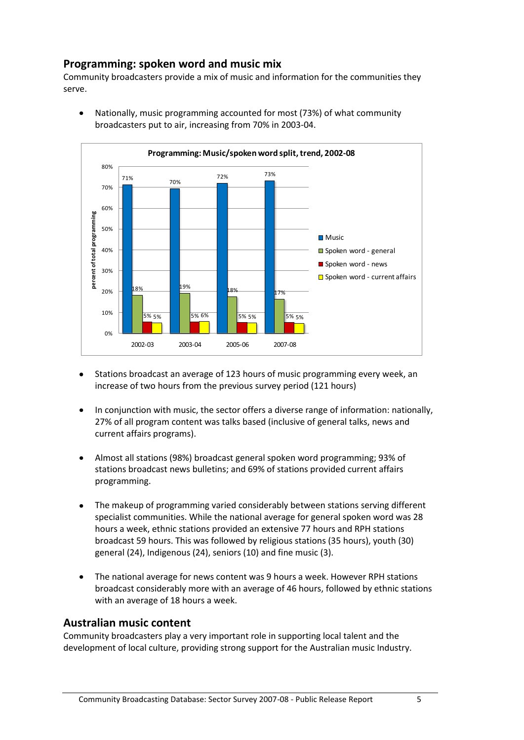#### <span id="page-8-0"></span>**Programming: spoken word and music mix**

Community broadcasters provide a mix of music and information for the communities they serve.



Nationally, music programming accounted for most (73%) of what community  $\bullet$ broadcasters put to air, increasing from 70% in 2003-04.

- Stations broadcast an average of 123 hours of music programming every week, an increase of two hours from the previous survey period (121 hours)
- In conjunction with music, the sector offers a diverse range of information: nationally,  $\bullet$ 27% of all program content was talks based (inclusive of general talks, news and current affairs programs).
- Almost all stations (98%) broadcast general spoken word programming; 93% of  $\bullet$ stations broadcast news bulletins; and 69% of stations provided current affairs programming.
- The makeup of programming varied considerably between stations serving different specialist communities. While the national average for general spoken word was 28 hours a week, ethnic stations provided an extensive 77 hours and RPH stations broadcast 59 hours. This was followed by religious stations (35 hours), youth (30) general (24), Indigenous (24), seniors (10) and fine music (3).
- The national average for news content was 9 hours a week. However RPH stations  $\bullet$ broadcast considerably more with an average of 46 hours, followed by ethnic stations with an average of 18 hours a week.

#### <span id="page-8-1"></span>**Australian music content**

Community broadcasters play a very important role in supporting local talent and the development of local culture, providing strong support for the Australian music Industry.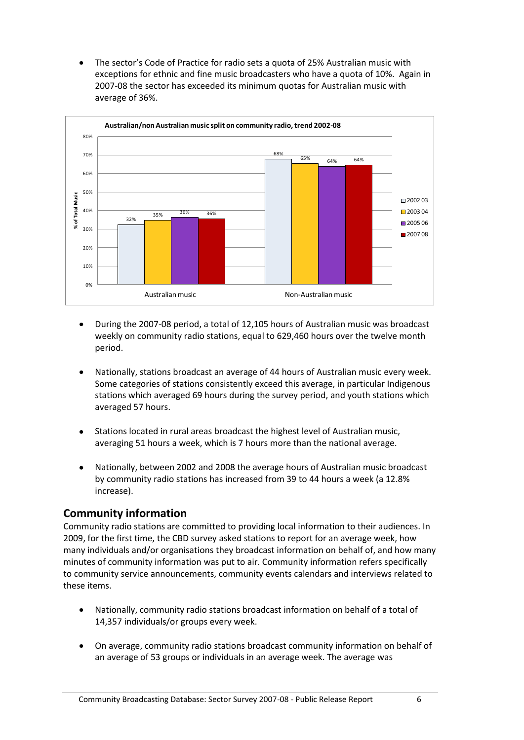The sector's Code of Practice for radio sets a quota of 25% Australian music with exceptions for ethnic and fine music broadcasters who have a quota of 10%. Again in 2007-08 the sector has exceeded its minimum quotas for Australian music with average of 36%.



- During the 2007-08 period, a total of 12,105 hours of Australian music was broadcast weekly on community radio stations, equal to 629,460 hours over the twelve month period.
- Nationally, stations broadcast an average of 44 hours of Australian music every week. Some categories of stations consistently exceed this average, in particular Indigenous stations which averaged 69 hours during the survey period, and youth stations which averaged 57 hours.
- Stations located in rural areas broadcast the highest level of Australian music, averaging 51 hours a week, which is 7 hours more than the national average.
- Nationally, between 2002 and 2008 the average hours of Australian music broadcast by community radio stations has increased from 39 to 44 hours a week (a 12.8% increase).

#### <span id="page-9-0"></span>**Community information**

Community radio stations are committed to providing local information to their audiences. In 2009, for the first time, the CBD survey asked stations to report for an average week, how many individuals and/or organisations they broadcast information on behalf of, and how many minutes of community information was put to air. Community information refers specifically to community service announcements, community events calendars and interviews related to these items.

- Nationally, community radio stations broadcast information on behalf of a total of 14,357 individuals/or groups every week.
- On average, community radio stations broadcast community information on behalf of  $\bullet$ an average of 53 groups or individuals in an average week. The average was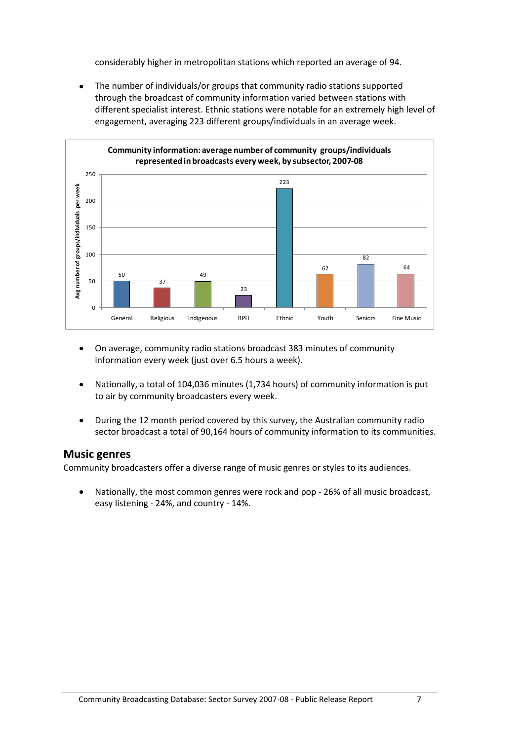considerably higher in metropolitan stations which reported an average of 94*.* 

 $\bullet$ The number of individuals/or groups that community radio stations supported through the broadcast of community information varied between stations with different specialist interest. Ethnic stations were notable for an extremely high level of engagement, averaging 223 different groups/individuals in an average week.



- On average, community radio stations broadcast 383 minutes of community  $\bullet$ information every week (just over 6.5 hours a week).
- Nationally, a total of 104,036 minutes (1,734 hours) of community information is put  $\bullet$ to air by community broadcasters every week.
- During the 12 month period covered by this survey, the Australian community radio  $\bullet$ sector broadcast a total of 90,164 hours of community information to its communities.

#### <span id="page-10-0"></span>**Music genres**

Community broadcasters offer a diverse range of music genres or styles to its audiences.

Nationally, the most common genres were rock and pop - 26% of all music broadcast, easy listening - 24%, and country - 14%.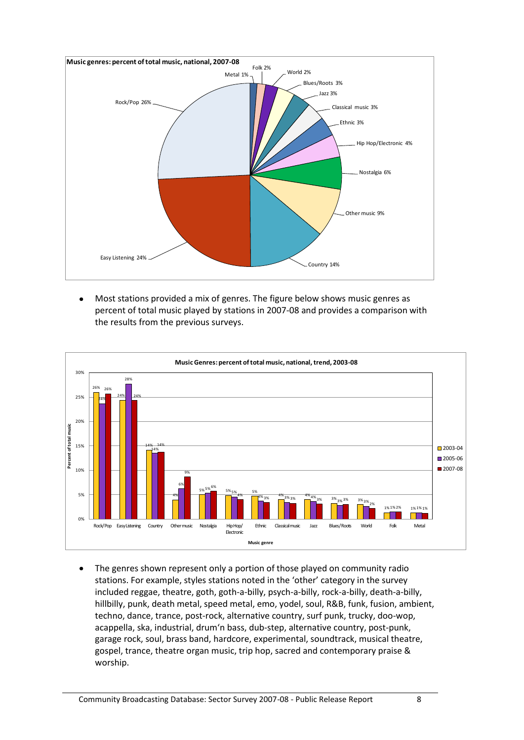

Most stations provided a mix of genres. The figure below shows music genres as  $\bullet$ the results from the previous surveys.



The genres shown represent only a portion of those played on community radio  $\bullet$ stations. For example, styles stations noted in the 'other' category in the survey included reggae, theatre, goth, goth-a-billy, psych-a-billy, rock-a-billy, death-a-billy, hillbilly, punk, death metal, speed metal, emo, yodel, soul, R&B, funk, fusion, ambient, techno, dance, trance, post-rock, alternative country, surf punk, trucky, doo-wop, acappella, ska, industrial, drum'n bass, dub-step, alternative country, post-punk, garage rock, soul, brass band, hardcore, experimental, soundtrack, musical theatre, gospel, trance, theatre organ music, trip hop, sacred and contemporary praise & worship.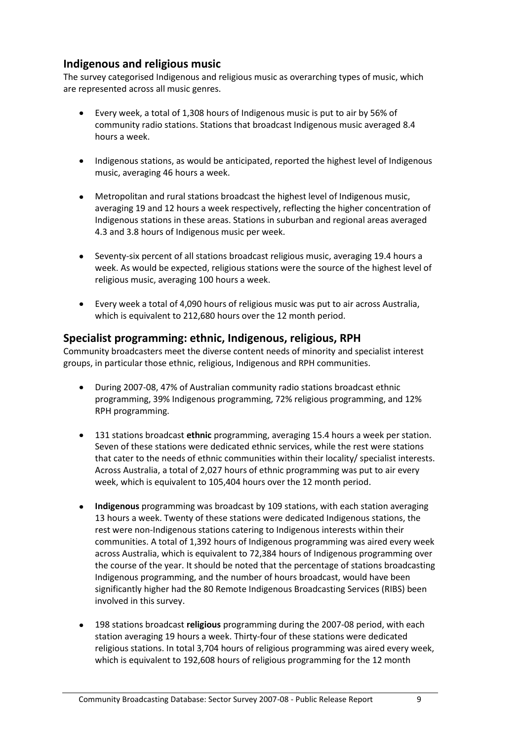#### <span id="page-12-0"></span>**Indigenous and religious music**

The survey categorised Indigenous and religious music as overarching types of music, which are represented across all music genres.

- Every week, a total of 1,308 hours of Indigenous music is put to air by 56% of  $\bullet$ community radio stations. Stations that broadcast Indigenous music averaged 8.4 hours a week.
- Indigenous stations, as would be anticipated, reported the highest level of Indigenous music, averaging 46 hours a week.
- Metropolitan and rural stations broadcast the highest level of Indigenous music, averaging 19 and 12 hours a week respectively, reflecting the higher concentration of Indigenous stations in these areas. Stations in suburban and regional areas averaged 4.3 and 3.8 hours of Indigenous music per week.
- Seventy-six percent of all stations broadcast religious music, averaging 19.4 hours a week. As would be expected, religious stations were the source of the highest level of religious music, averaging 100 hours a week.
- Every week a total of 4,090 hours of religious music was put to air across Australia, which is equivalent to 212,680 hours over the 12 month period.

#### <span id="page-12-1"></span>**Specialist programming: ethnic, Indigenous, religious, RPH**

Community broadcasters meet the diverse content needs of minority and specialist interest groups, in particular those ethnic, religious, Indigenous and RPH communities.

- During 2007-08, 47% of Australian community radio stations broadcast ethnic programming, 39% Indigenous programming, 72% religious programming, and 12% RPH programming.
- 131 stations broadcast **ethnic** programming, averaging 15.4 hours a week per station. Seven of these stations were dedicated ethnic services, while the rest were stations that cater to the needs of ethnic communities within their locality/ specialist interests. Across Australia, a total of 2,027 hours of ethnic programming was put to air every week, which is equivalent to 105,404 hours over the 12 month period.
- **Indigenous** programming was broadcast by 109 stations, with each station averaging 13 hours a week. Twenty of these stations were dedicated Indigenous stations, the rest were non-Indigenous stations catering to Indigenous interests within their communities. A total of 1,392 hours of Indigenous programming was aired every week across Australia, which is equivalent to 72,384 hours of Indigenous programming over the course of the year. It should be noted that the percentage of stations broadcasting Indigenous programming, and the number of hours broadcast, would have been significantly higher had the 80 Remote Indigenous Broadcasting Services (RIBS) been involved in this survey.
- 198 stations broadcast **religious** programming during the 2007-08 period, with each station averaging 19 hours a week. Thirty-four of these stations were dedicated religious stations. In total 3,704 hours of religious programming was aired every week, which is equivalent to 192,608 hours of religious programming for the 12 month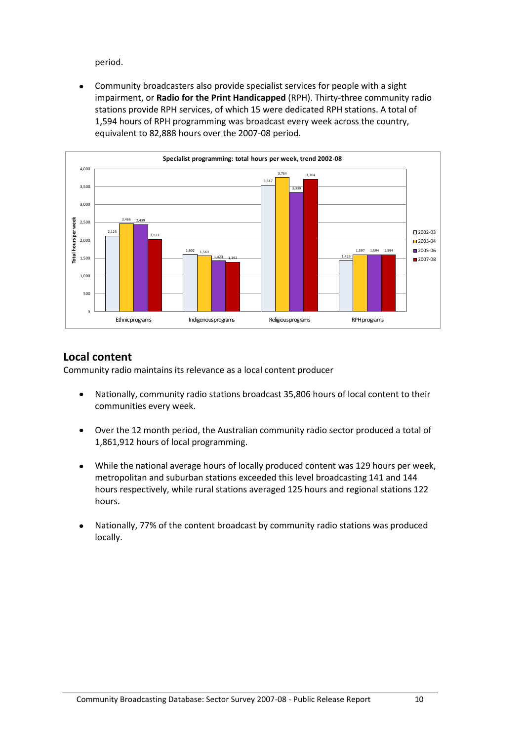period.

Community broadcasters also provide specialist services for people with a sight  $\bullet$ impairment, or **Radio for the Print Handicapped** (RPH). Thirty-three community radio stations provide RPH services, of which 15 were dedicated RPH stations. A total of 1,594 hours of RPH programming was broadcast every week across the country, equivalent to 82,888 hours over the 2007-08 period.



#### <span id="page-13-0"></span>**Local content**

Community radio maintains its relevance as a local content producer

- Nationally, community radio stations broadcast 35,806 hours of local content to their  $\bullet$ communities every week.
- Over the 12 month period, the Australian community radio sector produced a total of  $\bullet$ 1,861,912 hours of local programming.
- While the national average hours of locally produced content was 129 hours per week,  $\bullet$ metropolitan and suburban stations exceeded this level broadcasting 141 and 144 hours respectively, while rural stations averaged 125 hours and regional stations 122 hours.
- Nationally, 77% of the content broadcast by community radio stations was produced locally.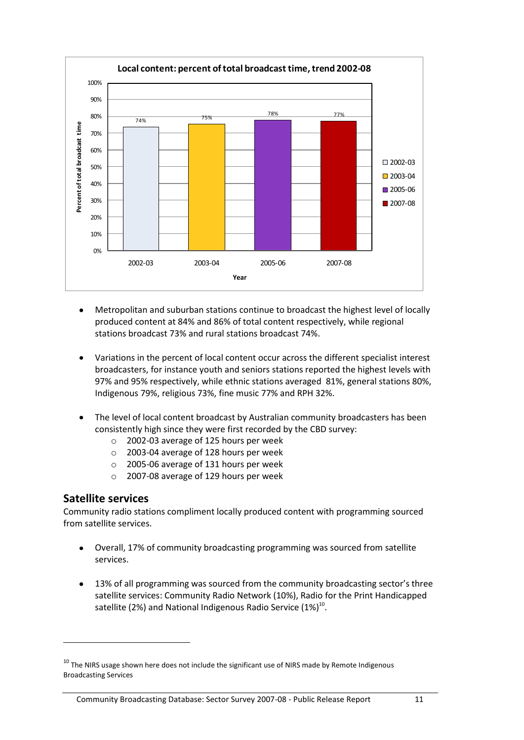

- Metropolitan and suburban stations continue to broadcast the highest level of locally  $\bullet$ produced content at 84% and 86% of total content respectively, while regional stations broadcast 73% and rural stations broadcast 74%.
- Variations in the percent of local content occur across the different specialist interest broadcasters, for instance youth and seniors stations reported the highest levels with 97% and 95% respectively, while ethnic stations averaged 81%, general stations 80%, Indigenous 79%, religious 73%, fine music 77% and RPH 32%.
- The level of local content broadcast by Australian community broadcasters has been consistently high since they were first recorded by the CBD survey:
	- o 2002-03 average of 125 hours per week
	- o 2003-04 average of 128 hours per week
	- o 2005-06 average of 131 hours per week
	- o 2007-08 average of 129 hours per week

#### <span id="page-14-0"></span>**Satellite services**

**.** 

Community radio stations compliment locally produced content with programming sourced from satellite services.

- Overall, 17% of community broadcasting programming was sourced from satellite  $\bullet$ services.
- 13% of all programming was sourced from the community broadcasting sector's three  $\bullet$ satellite services: Community Radio Network (10%), Radio for the Print Handicapped satellite (2%) and National Indigenous Radio Service (1%) $^{10}$ .

 $10$  The NIRS usage shown here does not include the significant use of NIRS made by Remote Indigenous Broadcasting Services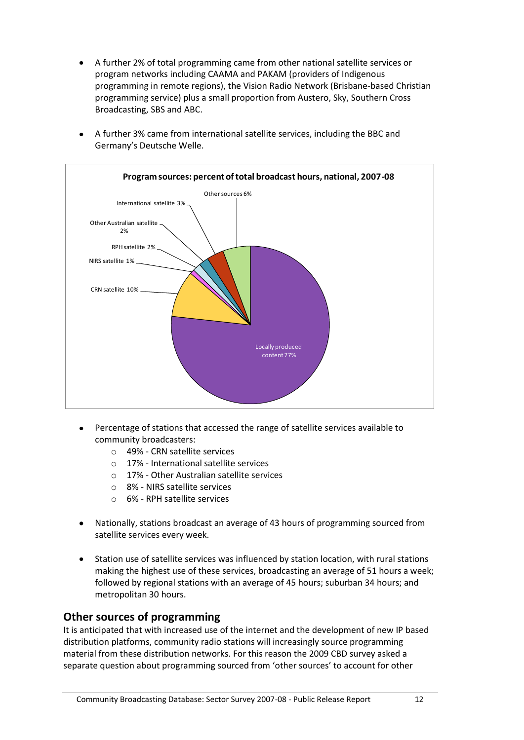A further 2% of total programming came from other national satellite services or program networks including CAAMA and PAKAM (providers of Indigenous programming in remote regions), the Vision Radio Network (Brisbane-based Christian programming service) plus a small proportion from Austero, Sky, Southern Cross Broadcasting, SBS and ABC.





- Percentage of stations that accessed the range of satellite services available to community broadcasters:
	- o 49% CRN satellite services
	- o 17% International satellite services
	- o 17% Other Australian satellite services
	- o 8% NIRS satellite services
	- o 6% RPH satellite services
- Nationally, stations broadcast an average of 43 hours of programming sourced from satellite services every week.
- $\bullet$ Station use of satellite services was influenced by station location, with rural stations making the highest use of these services, broadcasting an average of 51 hours a week; followed by regional stations with an average of 45 hours; suburban 34 hours; and metropolitan 30 hours.

#### <span id="page-15-0"></span>**Other sources of programming**

It is anticipated that with increased use of the internet and the development of new IP based distribution platforms, community radio stations will increasingly source programming material from these distribution networks. For this reason the 2009 CBD survey asked a separate question about programming sourced from 'other sources' to account for other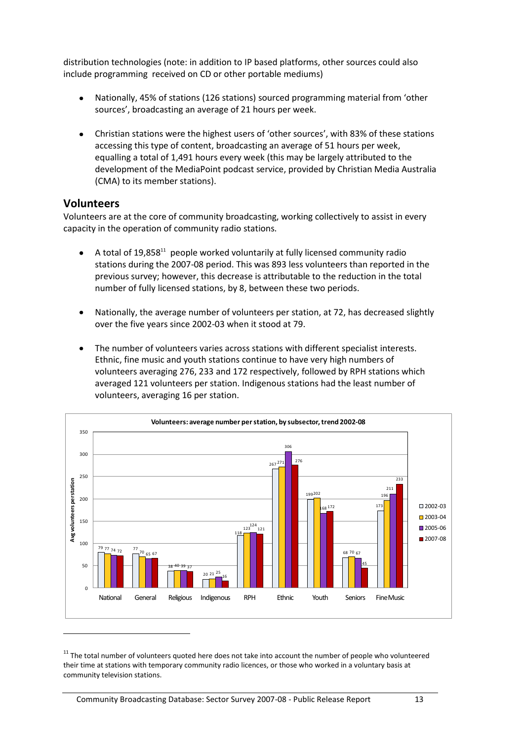distribution technologies (note: in addition to IP based platforms, other sources could also include programming received on CD or other portable mediums)

- Nationally, 45% of stations (126 stations) sourced programming material from 'other sources', broadcasting an average of 21 hours per week.
- $\bullet$ Christian stations were the highest users of 'other sources', with 83% of these stations accessing this type of content, broadcasting an average of 51 hours per week, equalling a total of 1,491 hours every week (this may be largely attributed to the development of the MediaPoint podcast service, provided by Christian Media Australia (CMA) to its member stations).

#### <span id="page-16-0"></span>**Volunteers**

1

Volunteers are at the core of community broadcasting, working collectively to assist in every capacity in the operation of community radio stations.

- A total of 19,858<sup>11</sup> people worked voluntarily at fully licensed community radio  $\bullet$ stations during the 2007-08 period. This was 893 less volunteers than reported in the previous survey; however, this decrease is attributable to the reduction in the total number of fully licensed stations, by 8, between these two periods.
- Nationally, the average number of volunteers per station, at 72, has decreased slightly  $\bullet$ over the five years since 2002-03 when it stood at 79.
- The number of volunteers varies across stations with different specialist interests.  $\bullet$ Ethnic, fine music and youth stations continue to have very high numbers of volunteers averaging 276, 233 and 172 respectively, followed by RPH stations which averaged 121 volunteers per station. Indigenous stations had the least number of volunteers, averaging 16 per station.



<sup>&</sup>lt;sup>11</sup> The total number of volunteers quoted here does not take into account the number of people who volunteered their time at stations with temporary community radio licences, or those who worked in a voluntary basis at community television stations.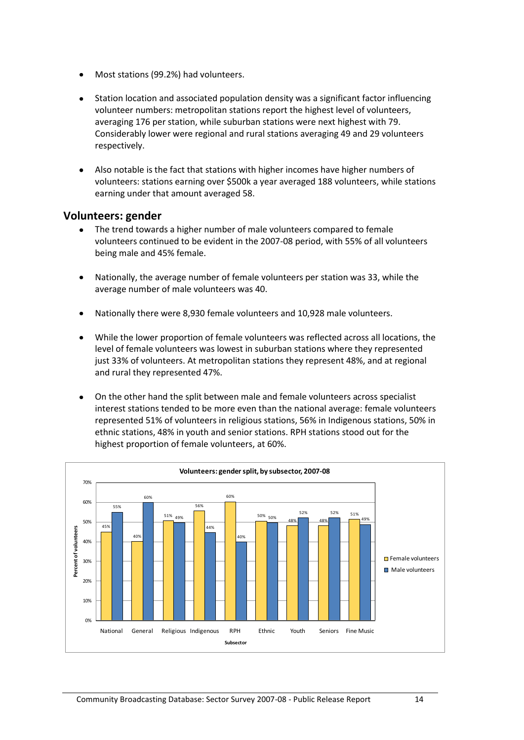- $\bullet$ Most stations (99.2%) had volunteers.
- Station location and associated population density was a significant factor influencing volunteer numbers: metropolitan stations report the highest level of volunteers, averaging 176 per station, while suburban stations were next highest with 79. Considerably lower were regional and rural stations averaging 49 and 29 volunteers respectively.
- Also notable is the fact that stations with higher incomes have higher numbers of volunteers: stations earning over \$500k a year averaged 188 volunteers, while stations earning under that amount averaged 58.

#### <span id="page-17-0"></span>**Volunteers: gender**

- The trend towards a higher number of male volunteers compared to female volunteers continued to be evident in the 2007-08 period, with 55% of all volunteers being male and 45% female.
- Nationally, the average number of female volunteers per station was 33, while the  $\bullet$ average number of male volunteers was 40.
- Nationally there were 8,930 female volunteers and 10,928 male volunteers.
- While the lower proportion of female volunteers was reflected across all locations, the level of female volunteers was lowest in suburban stations where they represented just 33% of volunteers. At metropolitan stations they represent 48%, and at regional and rural they represented 47%.
- On the other hand the split between male and female volunteers across specialist interest stations tended to be more even than the national average: female volunteers represented 51% of volunteers in religious stations, 56% in Indigenous stations, 50% in ethnic stations, 48% in youth and senior stations. RPH stations stood out for the highest proportion of female volunteers, at 60%.

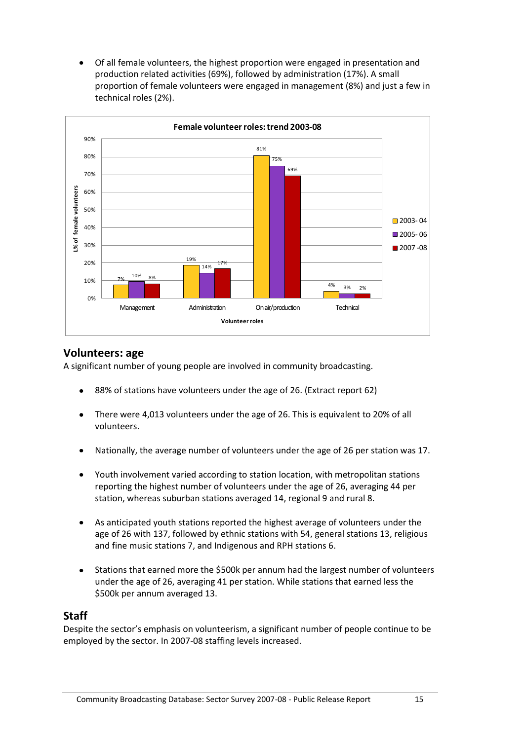Of all female volunteers, the highest proportion were engaged in presentation and  $\bullet$ production related activities (69%), followed by administration (17%). A small proportion of female volunteers were engaged in management (8%) and just a few in technical roles (2%).



#### <span id="page-18-0"></span>**Volunteers: age**

A significant number of young people are involved in community broadcasting.

- 88% of stations have volunteers under the age of 26. (Extract report 62)
- There were 4,013 volunteers under the age of 26. This is equivalent to 20% of all  $\bullet$ volunteers.
- Nationally, the average number of volunteers under the age of 26 per station was 17.  $\bullet$
- Youth involvement varied according to station location, with metropolitan stations  $\bullet$ reporting the highest number of volunteers under the age of 26, averaging 44 per station, whereas suburban stations averaged 14, regional 9 and rural 8.
- As anticipated youth stations reported the highest average of volunteers under the  $\bullet$ age of 26 with 137, followed by ethnic stations with 54, general stations 13, religious and fine music stations 7, and Indigenous and RPH stations 6.
- $\bullet$ Stations that earned more the \$500k per annum had the largest number of volunteers under the age of 26, averaging 41 per station. While stations that earned less the \$500k per annum averaged 13.

#### <span id="page-18-1"></span>**Staff**

Despite the sector's emphasis on volunteerism, a significant number of people continue to be employed by the sector. In 2007-08 staffing levels increased.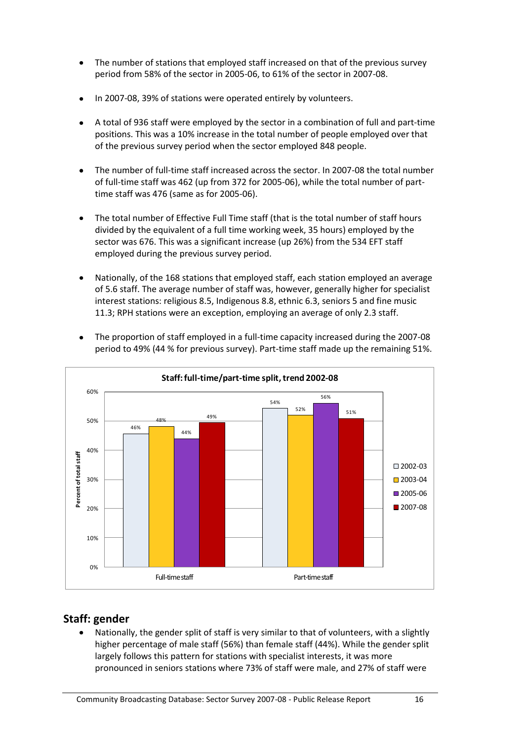- The number of stations that employed staff increased on that of the previous survey  $\bullet$ period from 58% of the sector in 2005-06, to 61% of the sector in 2007-08.
- In 2007-08, 39% of stations were operated entirely by volunteers.
- A total of 936 staff were employed by the sector in a combination of full and part-time  $\bullet$ positions. This was a 10% increase in the total number of people employed over that of the previous survey period when the sector employed 848 people.
- The number of full-time staff increased across the sector. In 2007-08 the total number of full-time staff was 462 (up from 372 for 2005-06), while the total number of parttime staff was 476 (same as for 2005-06).
- The total number of Effective Full Time staff (that is the total number of staff hours divided by the equivalent of a full time working week, 35 hours) employed by the sector was 676. This was a significant increase (up 26%) from the 534 EFT staff employed during the previous survey period.
- Nationally, of the 168 stations that employed staff, each station employed an average of 5.6 staff. The average number of staff was, however, generally higher for specialist interest stations: religious 8.5, Indigenous 8.8, ethnic 6.3, seniors 5 and fine music 11.3; RPH stations were an exception, employing an average of only 2.3 staff.



period to 49% (44 % for previous survey). Part-time staff made up the remaining 51%.

#### <span id="page-19-0"></span>**Staff: gender**

Nationally, the gender split of staff is very similar to that of volunteers, with a slightly higher percentage of male staff (56%) than female staff (44%). While the gender split largely follows this pattern for stations with specialist interests, it was more pronounced in seniors stations where 73% of staff were male, and 27% of staff were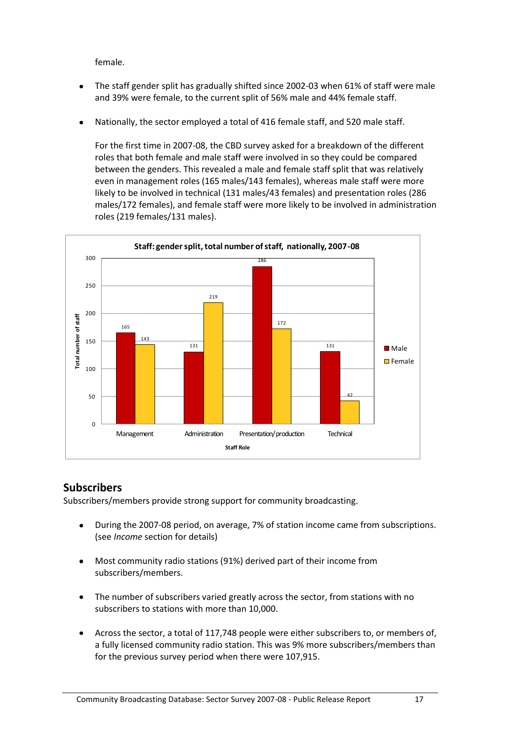female.

- The staff gender split has gradually shifted since 2002-03 when 61% of staff were male and 39% were female, to the current split of 56% male and 44% female staff.
- Nationally, the sector employed a total of 416 female staff, and 520 male staff.  $\bullet$

For the first time in 2007-08, the CBD survey asked for a breakdown of the different roles that both female and male staff were involved in so they could be compared between the genders. This revealed a male and female staff split that was relatively even in management roles (165 males/143 females), whereas male staff were more likely to be involved in technical (131 males/43 females) and presentation roles (286 males/172 females), and female staff were more likely to be involved in administration roles (219 females/131 males).



#### <span id="page-20-0"></span>**Subscribers**

Subscribers/members provide strong support for community broadcasting.

- During the 2007-08 period, on average, 7% of station income came from subscriptions. (see *Income* section for details)
- Most community radio stations (91%) derived part of their income from  $\bullet$ subscribers/members.
- The number of subscribers varied greatly across the sector, from stations with no  $\bullet$ subscribers to stations with more than 10,000.
- Across the sector, a total of 117,748 people were either subscribers to, or members of,  $\bullet$ a fully licensed community radio station. This was 9% more subscribers/members than for the previous survey period when there were 107,915.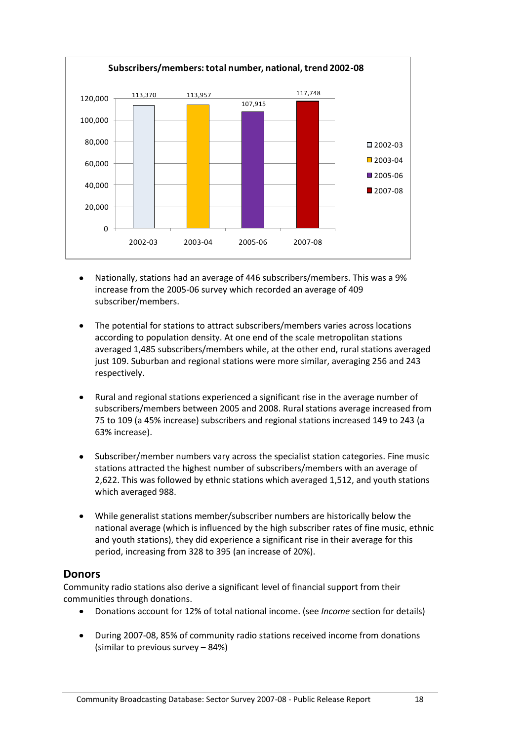

- Nationally, stations had an average of 446 subscribers/members. This was a 9% increase from the 2005-06 survey which recorded an average of 409 subscriber/members.
- The potential for stations to attract subscribers/members varies across locations according to population density. At one end of the scale metropolitan stations averaged 1,485 subscribers/members while, at the other end, rural stations averaged just 109. Suburban and regional stations were more similar, averaging 256 and 243 respectively.
- Rural and regional stations experienced a significant rise in the average number of subscribers/members between 2005 and 2008. Rural stations average increased from 75 to 109 (a 45% increase) subscribers and regional stations increased 149 to 243 (a 63% increase).
- Subscriber/member numbers vary across the specialist station categories. Fine music stations attracted the highest number of subscribers/members with an average of 2,622. This was followed by ethnic stations which averaged 1,512, and youth stations which averaged 988.
- While generalist stations member/subscriber numbers are historically below the national average (which is influenced by the high subscriber rates of fine music, ethnic and youth stations), they did experience a significant rise in their average for this period, increasing from 328 to 395 (an increase of 20%).

#### <span id="page-21-0"></span>**Donors**

Community radio stations also derive a significant level of financial support from their communities through donations.

- Donations account for 12% of total national income. (see *Income* section for details)
- During 2007-08, 85% of community radio stations received income from donations  $\bullet$ (similar to previous survey – 84%)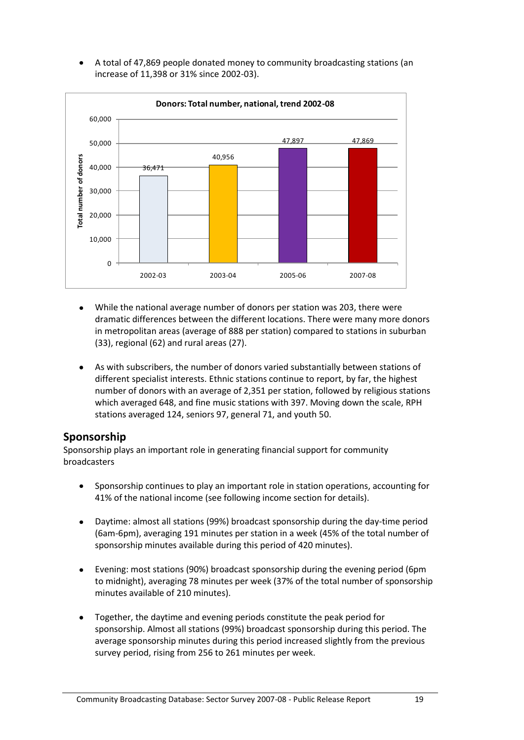A total of 47,869 people donated money to community broadcasting stations (an increase of 11,398 or 31% since 2002-03).



- $\bullet$ While the national average number of donors per station was 203, there were dramatic differences between the different locations. There were many more donors in metropolitan areas (average of 888 per station) compared to stations in suburban (33), regional (62) and rural areas (27).
- As with subscribers, the number of donors varied substantially between stations of different specialist interests. Ethnic stations continue to report, by far, the highest number of donors with an average of 2,351 per station, followed by religious stations which averaged 648, and fine music stations with 397. Moving down the scale, RPH stations averaged 124, seniors 97, general 71, and youth 50.

#### <span id="page-22-0"></span>**Sponsorship**

Sponsorship plays an important role in generating financial support for community broadcasters

- Sponsorship continues to play an important role in station operations, accounting for 41% of the national income (see following income section for details).
- $\bullet$ Daytime: almost all stations (99%) broadcast sponsorship during the day-time period (6am-6pm), averaging 191 minutes per station in a week (45% of the total number of sponsorship minutes available during this period of 420 minutes).
- Evening: most stations (90%) broadcast sponsorship during the evening period (6pm to midnight), averaging 78 minutes per week (37% of the total number of sponsorship minutes available of 210 minutes).
- Together, the daytime and evening periods constitute the peak period for  $\bullet$ sponsorship. Almost all stations (99%) broadcast sponsorship during this period. The average sponsorship minutes during this period increased slightly from the previous survey period, rising from 256 to 261 minutes per week.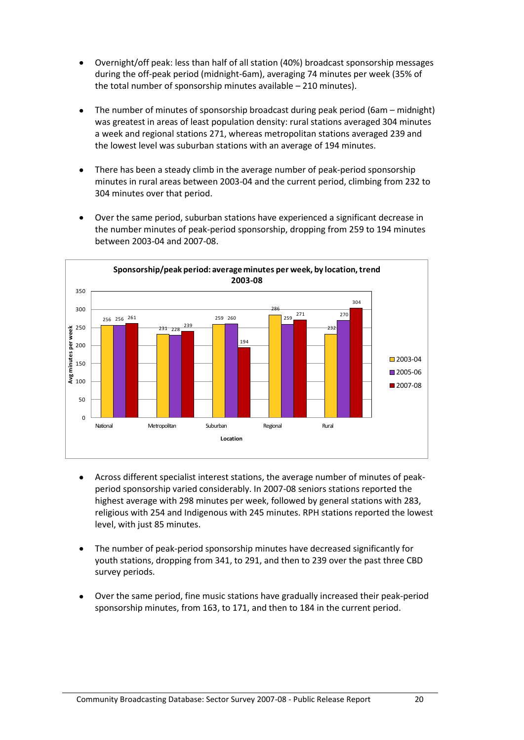- Overnight/off peak: less than half of all station (40%) broadcast sponsorship messages during the off-peak period (midnight-6am), averaging 74 minutes per week (35% of the total number of sponsorship minutes available – 210 minutes).
- The number of minutes of sponsorship broadcast during peak period (6am midnight)  $\bullet$ was greatest in areas of least population density: rural stations averaged 304 minutes a week and regional stations 271, whereas metropolitan stations averaged 239 and the lowest level was suburban stations with an average of 194 minutes.
- $\bullet$ There has been a steady climb in the average number of peak-period sponsorship minutes in rural areas between 2003-04 and the current period, climbing from 232 to 304 minutes over that period.

Over the same period, suburban stations have experienced a significant decrease in

the number minutes of peak-period sponsorship, dropping from 259 to 194 minutes between 2003-04 and 2007-08.



- Across different specialist interest stations, the average number of minutes of peak- $\bullet$ period sponsorship varied considerably. In 2007-08 seniors stations reported the highest average with 298 minutes per week, followed by general stations with 283, religious with 254 and Indigenous with 245 minutes. RPH stations reported the lowest level, with just 85 minutes.
- The number of peak-period sponsorship minutes have decreased significantly for  $\bullet$ youth stations, dropping from 341, to 291, and then to 239 over the past three CBD survey periods.
- Over the same period, fine music stations have gradually increased their peak-period  $\bullet$ sponsorship minutes, from 163, to 171, and then to 184 in the current period.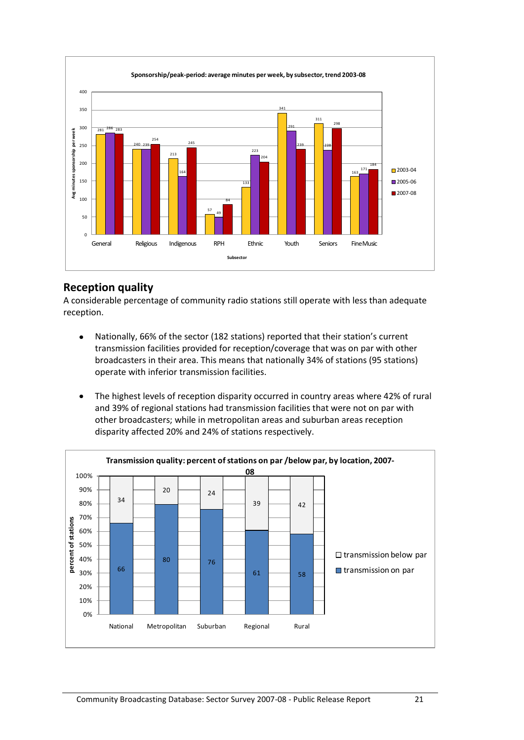

#### <span id="page-24-0"></span>**Reception quality**

A considerable percentage of community radio stations still operate with less than adequate reception.

- Nationally, 66% of the sector (182 stations) reported that their station's current  $\bullet$ transmission facilities provided for reception/coverage that was on par with other broadcasters in their area. This means that nationally 34% of stations (95 stations) operate with inferior transmission facilities.
- The highest levels of reception disparity occurred in country areas where 42% of rural  $\bullet$ and 39% of regional stations had transmission facilities that were not on par with other broadcasters; while in metropolitan areas and suburban areas reception disparity affected 20% and 24% of stations respectively.

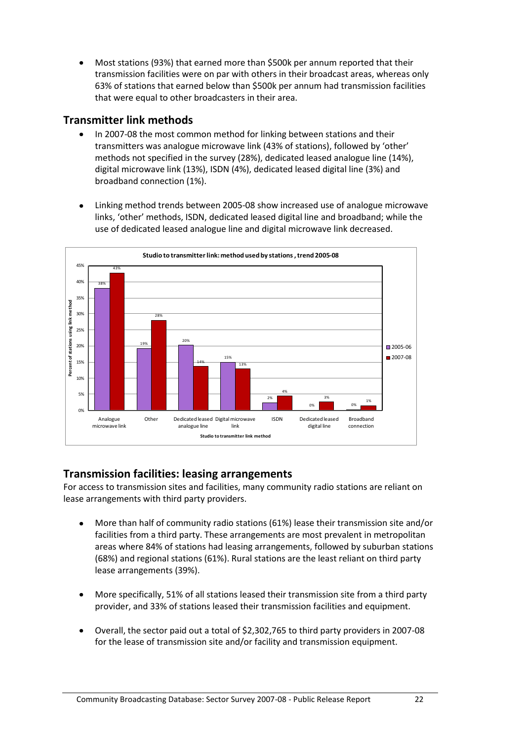Most stations (93%) that earned more than \$500k per annum reported that their transmission facilities were on par with others in their broadcast areas, whereas only 63% of stations that earned below than \$500k per annum had transmission facilities that were equal to other broadcasters in their area.

#### <span id="page-25-0"></span>**Transmitter link methods**

- $\bullet$ In 2007-08 the most common method for linking between stations and their transmitters was analogue microwave link (43% of stations), followed by 'other' methods not specified in the survey (28%), dedicated leased analogue line (14%), digital microwave link (13%), ISDN (4%), dedicated leased digital line (3%) and broadband connection (1%).
- Linking method trends between 2005-08 show increased use of analogue microwave  $\bullet$ links, 'other' methods, ISDN, dedicated leased digital line and broadband; while the use of dedicated leased analogue line and digital microwave link decreased.



#### <span id="page-25-1"></span>**Transmission facilities: leasing arrangements**

For access to transmission sites and facilities, many community radio stations are reliant on lease arrangements with third party providers.

- More than half of community radio stations (61%) lease their transmission site and/or  $\bullet$ facilities from a third party. These arrangements are most prevalent in metropolitan areas where 84% of stations had leasing arrangements, followed by suburban stations (68%) and regional stations (61%). Rural stations are the least reliant on third party lease arrangements (39%).
- More specifically, 51% of all stations leased their transmission site from a third party provider, and 33% of stations leased their transmission facilities and equipment.
- Overall, the sector paid out a total of \$2,302,765 to third party providers in 2007-08 for the lease of transmission site and/or facility and transmission equipment.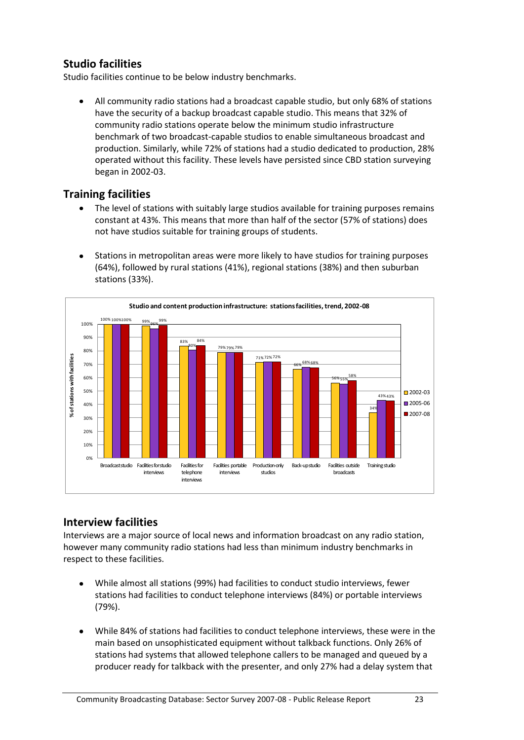#### <span id="page-26-0"></span>**Studio facilities**

Studio facilities continue to be below industry benchmarks.

All community radio stations had a broadcast capable studio, but only 68% of stations have the security of a backup broadcast capable studio. This means that 32% of community radio stations operate below the minimum studio infrastructure benchmark of two broadcast-capable studios to enable simultaneous broadcast and production. Similarly, while 72% of stations had a studio dedicated to production, 28% operated without this facility. These levels have persisted since CBD station surveying began in 2002-03.

#### <span id="page-26-1"></span>**Training facilities**

- The level of stations with suitably large studios available for training purposes remains constant at 43%. This means that more than half of the sector (57% of stations) does not have studios suitable for training groups of students.
- Stations in metropolitan areas were more likely to have studios for training purposes  $\bullet$ (64%), followed by rural stations (41%), regional stations (38%) and then suburban stations (33%).



#### <span id="page-26-2"></span>**Interview facilities**

Interviews are a major source of local news and information broadcast on any radio station, however many community radio stations had less than minimum industry benchmarks in respect to these facilities.

- While almost all stations (99%) had facilities to conduct studio interviews, fewer stations had facilities to conduct telephone interviews (84%) or portable interviews (79%).
- While 84% of stations had facilities to conduct telephone interviews, these were in the main based on unsophisticated equipment without talkback functions. Only 26% of stations had systems that allowed telephone callers to be managed and queued by a producer ready for talkback with the presenter, and only 27% had a delay system that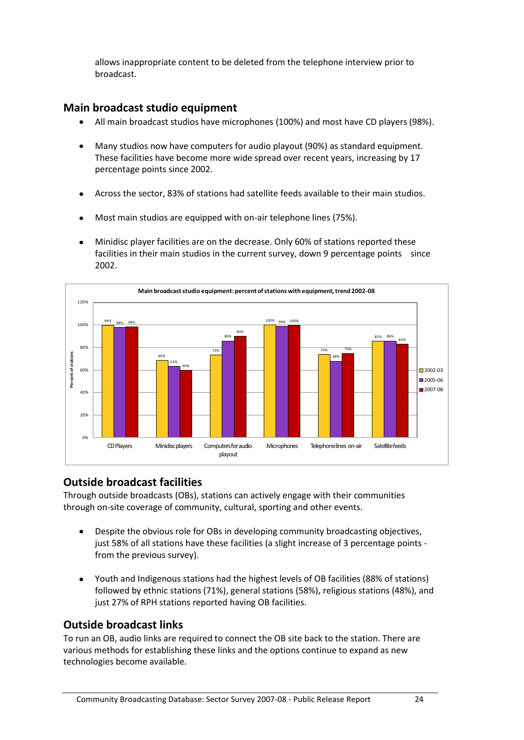allows inappropriate content to be deleted from the telephone interview prior to broadcast.

#### <span id="page-27-0"></span>**Main broadcast studio equipment**

- All main broadcast studios have microphones (100%) and most have CD players (98%).  $\bullet$
- Many studios now have computers for audio playout (90%) as standard equipment.  $\bullet$ These facilities have become more wide spread over recent years, increasing by 17 percentage points since 2002.
- Across the sector, 83% of stations had satellite feeds available to their main studios.  $\bullet$
- Most main studios are equipped with on-air telephone lines (75%).  $\bullet$
- Minidisc player facilities are on the decrease. Only 60% of stations reported these  $\bullet$ facilities in their main studios in the current survey, down 9 percentage points since 2002.



#### <span id="page-27-1"></span>**Outside broadcast facilities**

Through outside broadcasts (OBs), stations can actively engage with their communities through on-site coverage of community, cultural, sporting and other events.

- Despite the obvious role for OBs in developing community broadcasting objectives,  $\bullet$ just 58% of all stations have these facilities (a slight increase of 3 percentage points from the previous survey).
- Youth and Indigenous stations had the highest levels of OB facilities (88% of stations)  $\bullet$ followed by ethnic stations (71%), general stations (58%), religious stations (48%), and just 27% of RPH stations reported having OB facilities.

#### <span id="page-27-2"></span>**Outside broadcast links**

To run an OB, audio links are required to connect the OB site back to the station. There are various methods for establishing these links and the options continue to expand as new technologies become available.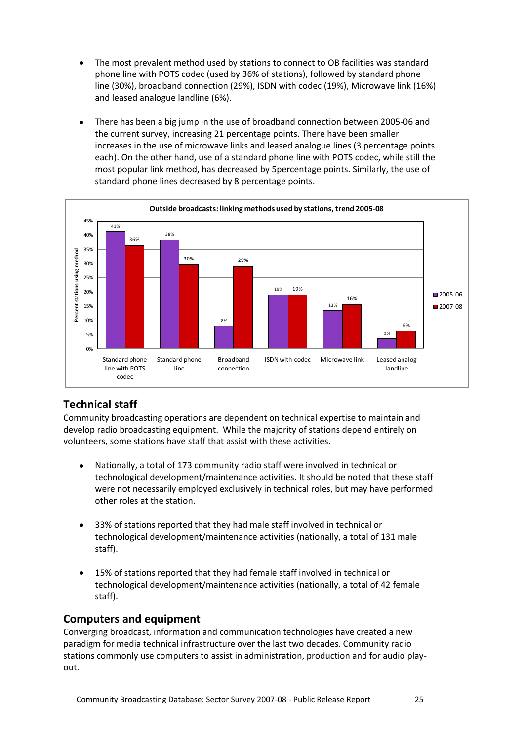- The most prevalent method used by stations to connect to OB facilities was standard phone line with POTS codec (used by 36% of stations), followed by standard phone line (30%), broadband connection (29%), ISDN with codec (19%), Microwave link (16%) and leased analogue landline (6%).
- There has been a big jump in the use of broadband connection between 2005-06 and  $\bullet$ the current survey, increasing 21 percentage points. There have been smaller increases in the use of microwave links and leased analogue lines (3 percentage points each). On the other hand, use of a standard phone line with POTS codec, while still the most popular link method, has decreased by 5percentage points. Similarly, the use of standard phone lines decreased by 8 percentage points.



#### <span id="page-28-0"></span>**Technical staff**

Community broadcasting operations are dependent on technical expertise to maintain and develop radio broadcasting equipment. While the majority of stations depend entirely on volunteers, some stations have staff that assist with these activities.

- Nationally, a total of 173 community radio staff were involved in technical or  $\bullet$ technological development/maintenance activities. It should be noted that these staff were not necessarily employed exclusively in technical roles, but may have performed other roles at the station.
- 33% of stations reported that they had male staff involved in technical or technological development/maintenance activities (nationally, a total of 131 male staff).
- 15% of stations reported that they had female staff involved in technical or  $\bullet$ technological development/maintenance activities (nationally, a total of 42 female staff).

#### <span id="page-28-1"></span>**Computers and equipment**

Converging broadcast, information and communication technologies have created a new paradigm for media technical infrastructure over the last two decades. Community radio stations commonly use computers to assist in administration, production and for audio playout.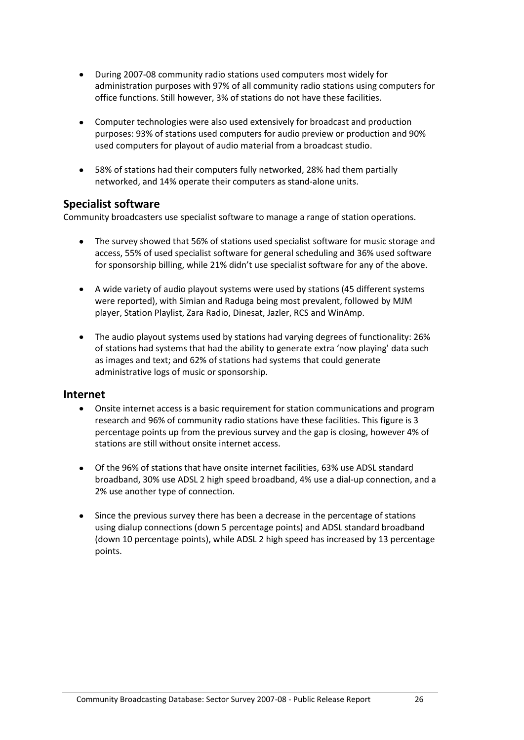- During 2007-08 community radio stations used computers most widely for  $\bullet$ administration purposes with 97% of all community radio stations using computers for office functions. Still however, 3% of stations do not have these facilities.
- Computer technologies were also used extensively for broadcast and production purposes: 93% of stations used computers for audio preview or production and 90% used computers for playout of audio material from a broadcast studio.
- 58% of stations had their computers fully networked, 28% had them partially networked, and 14% operate their computers as stand-alone units.

#### <span id="page-29-0"></span>**Specialist software**

Community broadcasters use specialist software to manage a range of station operations.

- The survey showed that 56% of stations used specialist software for music storage and  $\bullet$ access, 55% of used specialist software for general scheduling and 36% used software for sponsorship billing, while 21% didn't use specialist software for any of the above.
- A wide variety of audio playout systems were used by stations (45 different systems were reported), with Simian and Raduga being most prevalent, followed by MJM player, Station Playlist, Zara Radio, Dinesat, Jazler, RCS and WinAmp.
- The audio playout systems used by stations had varying degrees of functionality: 26% of stations had systems that had the ability to generate extra 'now playing' data such as images and text; and 62% of stations had systems that could generate administrative logs of music or sponsorship.

#### <span id="page-29-1"></span>**Internet**

- Onsite internet access is a basic requirement for station communications and program  $\bullet$ research and 96% of community radio stations have these facilities. This figure is 3 percentage points up from the previous survey and the gap is closing, however 4% of stations are still without onsite internet access.
- Of the 96% of stations that have onsite internet facilities, 63% use ADSL standard broadband, 30% use ADSL 2 high speed broadband, 4% use a dial-up connection, and a 2% use another type of connection.
- Since the previous survey there has been a decrease in the percentage of stations using dialup connections (down 5 percentage points) and ADSL standard broadband (down 10 percentage points), while ADSL 2 high speed has increased by 13 percentage points.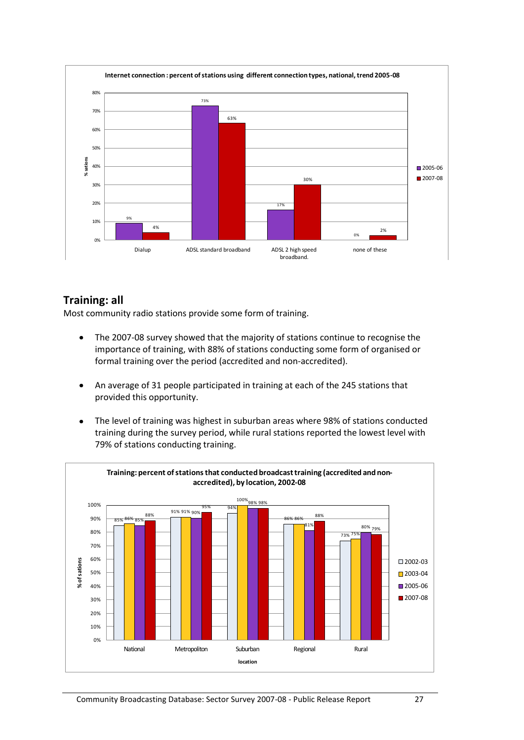

#### <span id="page-30-0"></span>**Training: all**

Most community radio stations provide some form of training.

- The 2007-08 survey showed that the majority of stations continue to recognise the  $\bullet$ importance of training, with 88% of stations conducting some form of organised or formal training over the period (accredited and non-accredited).
- An average of 31 people participated in training at each of the 245 stations that  $\bullet$ provided this opportunity.
- The level of training was highest in suburban areas where 98% of stations conducted  $\bullet$ training during the survey period, while rural stations reported the lowest level with 79% of stations conducting training.

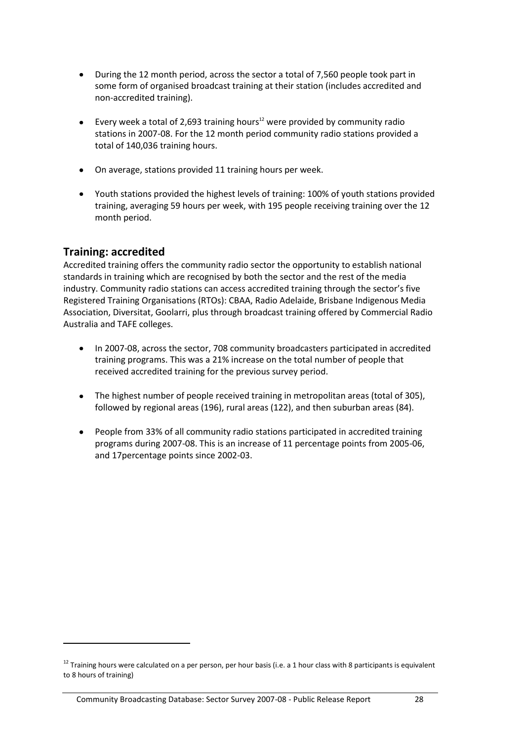- During the 12 month period, across the sector a total of 7,560 people took part in  $\bullet$ some form of organised broadcast training at their station (includes accredited and non-accredited training).
- $\bullet$ Every week a total of 2,693 training hours $12$  were provided by community radio stations in 2007-08. For the 12 month period community radio stations provided a total of 140,036 training hours.
- On average, stations provided 11 training hours per week.
- Youth stations provided the highest levels of training: 100% of youth stations provided training, averaging 59 hours per week, with 195 people receiving training over the 12 month period.

#### <span id="page-31-0"></span>**Training: accredited**

1

Accredited training offers the community radio sector the opportunity to establish national standards in training which are recognised by both the sector and the rest of the media industry. Community radio stations can access accredited training through the sector's five Registered Training Organisations (RTOs): CBAA, Radio Adelaide, Brisbane Indigenous Media Association, Diversitat, Goolarri, plus through broadcast training offered by Commercial Radio Australia and TAFE colleges.

- $\bullet$ In 2007-08, across the sector, 708 community broadcasters participated in accredited training programs. This was a 21% increase on the total number of people that received accredited training for the previous survey period.
- The highest number of people received training in metropolitan areas (total of 305), followed by regional areas (196), rural areas (122), and then suburban areas (84).
- People from 33% of all community radio stations participated in accredited training  $\bullet$ programs during 2007-08. This is an increase of 11 percentage points from 2005-06, and 17percentage points since 2002-03.

 $12$  Training hours were calculated on a per person, per hour basis (i.e. a 1 hour class with 8 participants is equivalent to 8 hours of training)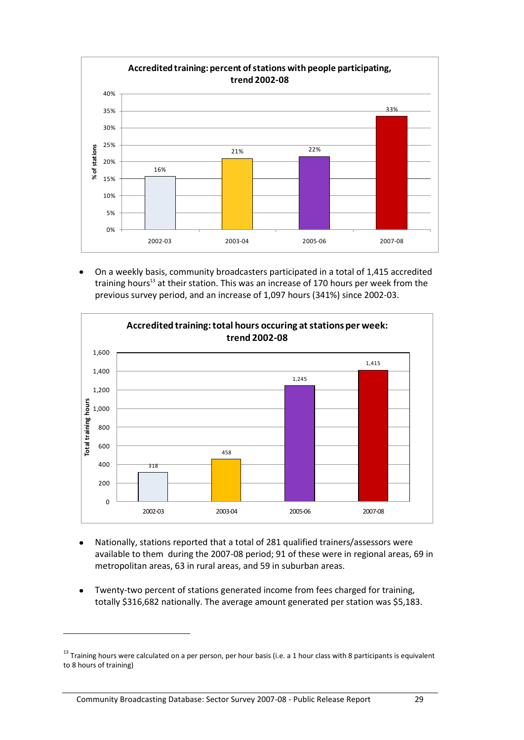

On a weekly basis, community broadcasters participated in a total of 1,415 accredited training hours<sup>13</sup> at their station. This was an increase of 170 hours per week from the previous survey period, and an increase of 1,097 hours (341%) since 2002-03.



- Nationally, stations reported that a total of 281 qualified trainers/assessors were available to them during the 2007-08 period; 91 of these were in regional areas, 69 in metropolitan areas, 63 in rural areas, and 59 in suburban areas.
- Twenty-two percent of stations generated income from fees charged for training, totally \$316,682 nationally. The average amount generated per station was \$5,183.

1

 $13$  Training hours were calculated on a per person, per hour basis (i.e. a 1 hour class with 8 participants is equivalent to 8 hours of training)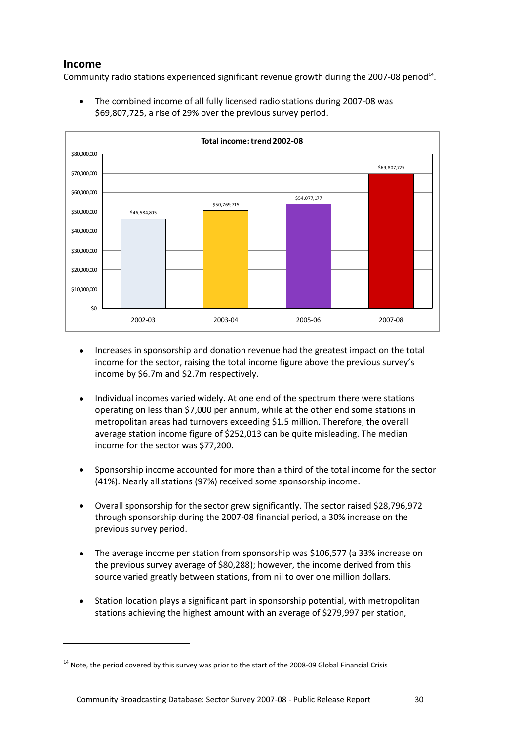#### <span id="page-33-0"></span>**Income**

1

Community radio stations experienced significant revenue growth during the 2007-08 period $^{14}$ .



The combined income of all fully licensed radio stations during 2007-08 was \$69,807,725, a rise of 29% over the previous survey period.

- Increases in sponsorship and donation revenue had the greatest impact on the total  $\bullet$ income for the sector, raising the total income figure above the previous survey's income by \$6.7m and \$2.7m respectively.
- Individual incomes varied widely. At one end of the spectrum there were stations  $\bullet$ operating on less than \$7,000 per annum, while at the other end some stations in metropolitan areas had turnovers exceeding \$1.5 million. Therefore, the overall average station income figure of \$252,013 can be quite misleading. The median income for the sector was \$77,200.
- Sponsorship income accounted for more than a third of the total income for the sector (41%). Nearly all stations (97%) received some sponsorship income.
- Overall sponsorship for the sector grew significantly. The sector raised \$28,796,972 through sponsorship during the 2007-08 financial period, a 30% increase on the previous survey period.
- The average income per station from sponsorship was \$106,577 (a 33% increase on the previous survey average of \$80,288); however, the income derived from this source varied greatly between stations, from nil to over one million dollars.
- Station location plays a significant part in sponsorship potential, with metropolitan stations achieving the highest amount with an average of \$279,997 per station,

<sup>&</sup>lt;sup>14</sup> Note, the period covered by this survey was prior to the start of the 2008-09 Global Financial Crisis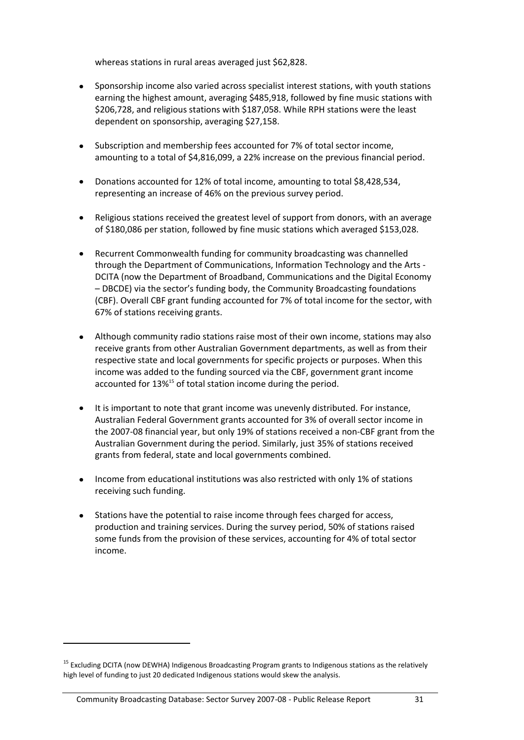whereas stations in rural areas averaged just \$62,828.

- Sponsorship income also varied across specialist interest stations, with youth stations earning the highest amount, averaging \$485,918, followed by fine music stations with \$206,728, and religious stations with \$187,058. While RPH stations were the least dependent on sponsorship, averaging \$27,158.
- Subscription and membership fees accounted for 7% of total sector income,  $\bullet$ amounting to a total of \$4,816,099, a 22% increase on the previous financial period.
- Donations accounted for 12% of total income, amounting to total \$8,428,534,  $\bullet$ representing an increase of 46% on the previous survey period.
- Religious stations received the greatest level of support from donors, with an average of \$180,086 per station, followed by fine music stations which averaged \$153,028.
- $\bullet$ Recurrent Commonwealth funding for community broadcasting was channelled through the Department of Communications, Information Technology and the Arts - DCITA (now the Department of Broadband, Communications and the Digital Economy – DBCDE) via the sector's funding body, the Community Broadcasting foundations (CBF). Overall CBF grant funding accounted for 7% of total income for the sector, with 67% of stations receiving grants.
- Although community radio stations raise most of their own income, stations may also receive grants from other Australian Government departments, as well as from their respective state and local governments for specific projects or purposes. When this income was added to the funding sourced via the CBF, government grant income accounted for 13%<sup>15</sup> of total station income during the period.
- It is important to note that grant income was unevenly distributed. For instance,  $\bullet$ Australian Federal Government grants accounted for 3% of overall sector income in the 2007-08 financial year, but only 19% of stations received a non-CBF grant from the Australian Government during the period. Similarly, just 35% of stations received grants from federal, state and local governments combined.
- $\bullet$ Income from educational institutions was also restricted with only 1% of stations receiving such funding.
- Stations have the potential to raise income through fees charged for access, production and training services. During the survey period, 50% of stations raised some funds from the provision of these services, accounting for 4% of total sector income.

1

<sup>&</sup>lt;sup>15</sup> Excluding DCITA (now DEWHA) Indigenous Broadcasting Program grants to Indigenous stations as the relatively high level of funding to just 20 dedicated Indigenous stations would skew the analysis.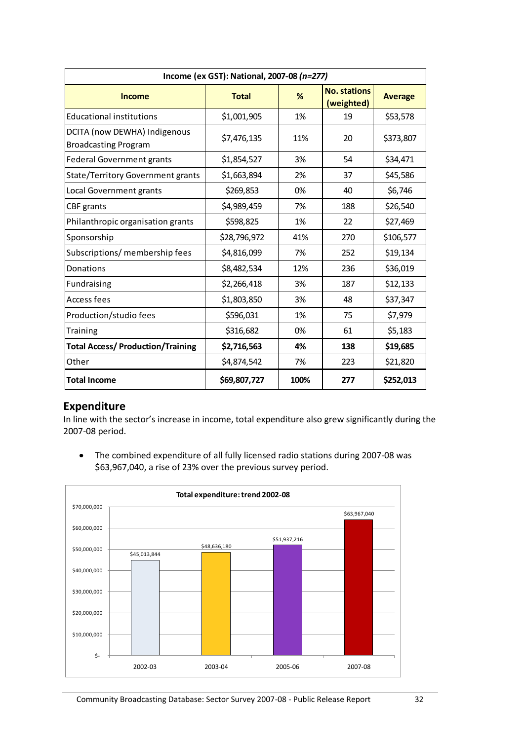| Income (ex GST): National, 2007-08 (n=277)                  |              |      |                                   |                |  |  |  |  |  |  |  |
|-------------------------------------------------------------|--------------|------|-----------------------------------|----------------|--|--|--|--|--|--|--|
| <b>Income</b>                                               | <b>Total</b> | %    | <b>No. stations</b><br>(weighted) | <b>Average</b> |  |  |  |  |  |  |  |
| <b>Educational institutions</b>                             | \$1,001,905  | 1%   | 19                                | \$53,578       |  |  |  |  |  |  |  |
| DCITA (now DEWHA) Indigenous<br><b>Broadcasting Program</b> | \$7,476,135  | 11%  | 20                                | \$373,807      |  |  |  |  |  |  |  |
| Federal Government grants                                   | \$1,854,527  | 3%   | 54                                | \$34,471       |  |  |  |  |  |  |  |
| <b>State/Territory Government grants</b>                    | \$1,663,894  | 2%   | 37                                | \$45,586       |  |  |  |  |  |  |  |
| Local Government grants                                     | \$269,853    | 0%   | 40                                | \$6,746        |  |  |  |  |  |  |  |
| CBF grants                                                  | \$4,989,459  | 7%   | 188                               | \$26,540       |  |  |  |  |  |  |  |
| Philanthropic organisation grants                           | \$598,825    | 1%   | 22                                | \$27,469       |  |  |  |  |  |  |  |
| Sponsorship                                                 | \$28,796,972 | 41%  | 270                               | \$106,577      |  |  |  |  |  |  |  |
| Subscriptions/ membership fees                              | \$4,816,099  | 7%   | 252                               | \$19,134       |  |  |  |  |  |  |  |
| Donations                                                   | \$8,482,534  | 12%  | 236                               | \$36,019       |  |  |  |  |  |  |  |
| Fundraising                                                 | \$2,266,418  | 3%   | 187                               | \$12,133       |  |  |  |  |  |  |  |
| Access fees                                                 | \$1,803,850  | 3%   | 48                                | \$37,347       |  |  |  |  |  |  |  |
| Production/studio fees                                      | \$596,031    | 1%   | 75                                | \$7,979        |  |  |  |  |  |  |  |
| Training                                                    | \$316,682    | 0%   | 61                                | \$5,183        |  |  |  |  |  |  |  |
| <b>Total Access/ Production/Training</b>                    | \$2,716,563  | 4%   | 138                               | \$19,685       |  |  |  |  |  |  |  |
| Other                                                       | \$4,874,542  | 7%   | 223                               | \$21,820       |  |  |  |  |  |  |  |
| <b>Total Income</b>                                         | \$69,807,727 | 100% | 277                               | \$252,013      |  |  |  |  |  |  |  |

#### <span id="page-35-0"></span>**Expenditure**

In line with the sector's increase in income, total expenditure also grew significantly during the 2007-08 period.

 $\bullet$ The combined expenditure of all fully licensed radio stations during 2007-08 was \$63,967,040, a rise of 23% over the previous survey period.

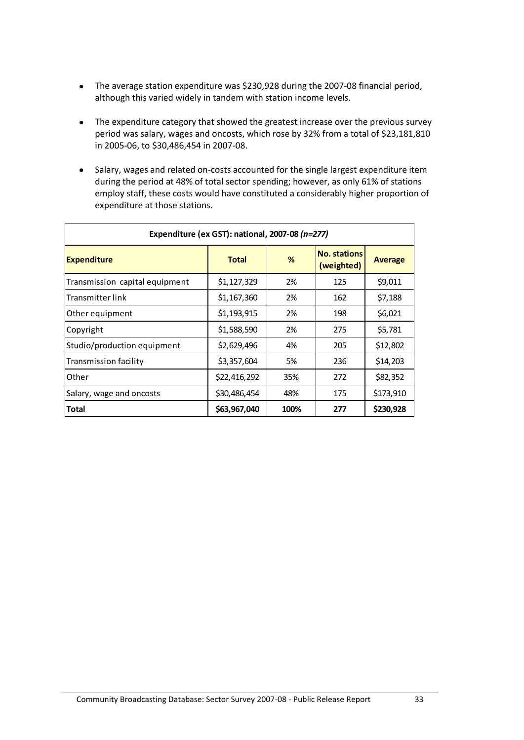- The average station expenditure was \$230,928 during the 2007-08 financial period,  $\bullet$ although this varied widely in tandem with station income levels.
- The expenditure category that showed the greatest increase over the previous survey  $\bullet$ period was salary, wages and oncosts, which rose by 32% from a total of \$23,181,810 in 2005-06, to \$30,486,454 in 2007-08.
- Salary, wages and related on-costs accounted for the single largest expenditure item  $\bullet$ during the period at 48% of total sector spending; however, as only 61% of stations employ staff, these costs would have constituted a considerably higher proportion of expenditure at those stations.

| Expenditure (ex GST): national, 2007-08 (n=277) |              |      |                                   |                |  |  |  |  |  |  |  |
|-------------------------------------------------|--------------|------|-----------------------------------|----------------|--|--|--|--|--|--|--|
| <b>Expenditure</b>                              | <b>Total</b> | %    | <b>No. stations</b><br>(weighted) | <b>Average</b> |  |  |  |  |  |  |  |
| Transmission capital equipment                  | \$1,127,329  | 2%   | 125                               | \$9,011        |  |  |  |  |  |  |  |
| Transmitter link                                | \$1,167,360  | 2%   | 162                               | \$7,188        |  |  |  |  |  |  |  |
| Other equipment                                 | \$1,193,915  | 2%   | 198                               | \$6,021        |  |  |  |  |  |  |  |
| Copyright                                       | \$1,588,590  | 2%   | 275                               | \$5,781        |  |  |  |  |  |  |  |
| Studio/production equipment                     | \$2,629,496  | 4%   | 205                               | \$12,802       |  |  |  |  |  |  |  |
| Transmission facility                           | \$3,357,604  | 5%   | 236                               | \$14,203       |  |  |  |  |  |  |  |
| Other                                           | \$22,416,292 | 35%  | 272                               | \$82,352       |  |  |  |  |  |  |  |
| Salary, wage and oncosts                        | \$30,486,454 | 48%  | 175                               | \$173,910      |  |  |  |  |  |  |  |
| Total                                           | \$63,967,040 | 100% | 277                               | \$230,928      |  |  |  |  |  |  |  |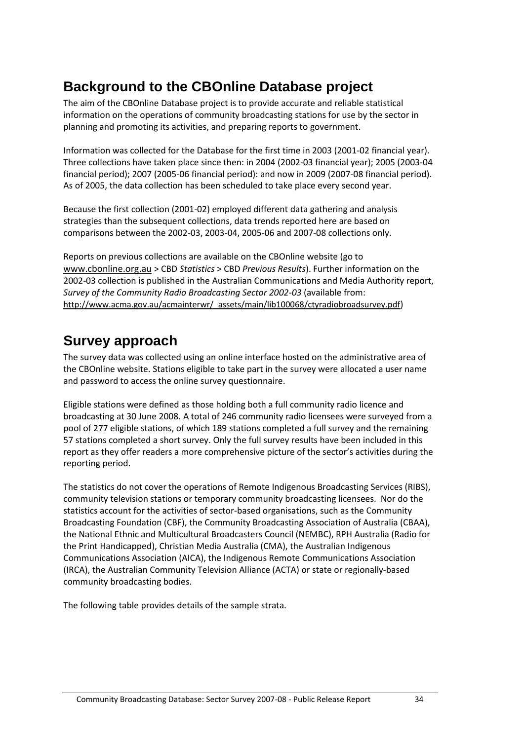# <span id="page-37-0"></span>**Background to the CBOnline Database project**

The aim of the CBOnline Database project is to provide accurate and reliable statistical information on the operations of community broadcasting stations for use by the sector in planning and promoting its activities, and preparing reports to government.

Information was collected for the Database for the first time in 2003 (2001-02 financial year). Three collections have taken place since then: in 2004 (2002-03 financial year); 2005 (2003-04 financial period); 2007 (2005-06 financial period): and now in 2009 (2007-08 financial period). As of 2005, the data collection has been scheduled to take place every second year.

Because the first collection (2001-02) employed different data gathering and analysis strategies than the subsequent collections, data trends reported here are based on comparisons between the 2002-03, 2003-04, 2005-06 and 2007-08 collections only.

Reports on previous collections are available on the CBOnline website (go to [www.cbonline.org.au](http://www.cbonline.org.au/) > CBD *Statistics* > CBD *Previous Results*). Further information on the 2002-03 collection is published in the Australian Communications and Media Authority report, *Survey of the Community Radio Broadcasting Sector 2002-03* (available from: [http://www.acma.gov.au/acmainterwr/\\_assets/main/lib100068/ctyradiobroadsurvey.pdf](http://www.acma.gov.au/acmainterwr/_assets/main/lib100068/ctyradiobroadsurvey.pdf))

# <span id="page-37-1"></span>**Survey approach**

The survey data was collected using an online interface hosted on the administrative area of the CBOnline website. Stations eligible to take part in the survey were allocated a user name and password to access the online survey questionnaire.

Eligible stations were defined as those holding both a full community radio licence and broadcasting at 30 June 2008. A total of 246 community radio licensees were surveyed from a pool of 277 eligible stations, of which 189 stations completed a full survey and the remaining 57 stations completed a short survey. Only the full survey results have been included in this report as they offer readers a more comprehensive picture of the sector's activities during the reporting period.

The statistics do not cover the operations of Remote Indigenous Broadcasting Services (RIBS), community television stations or temporary community broadcasting licensees. Nor do the statistics account for the activities of sector-based organisations, such as the Community Broadcasting Foundation (CBF), the Community Broadcasting Association of Australia (CBAA), the National Ethnic and Multicultural Broadcasters Council (NEMBC), RPH Australia (Radio for the Print Handicapped), Christian Media Australia (CMA), the Australian Indigenous Communications Association (AICA), the Indigenous Remote Communications Association (IRCA), the Australian Community Television Alliance (ACTA) or state or regionally-based community broadcasting bodies.

The following table provides details of the sample strata.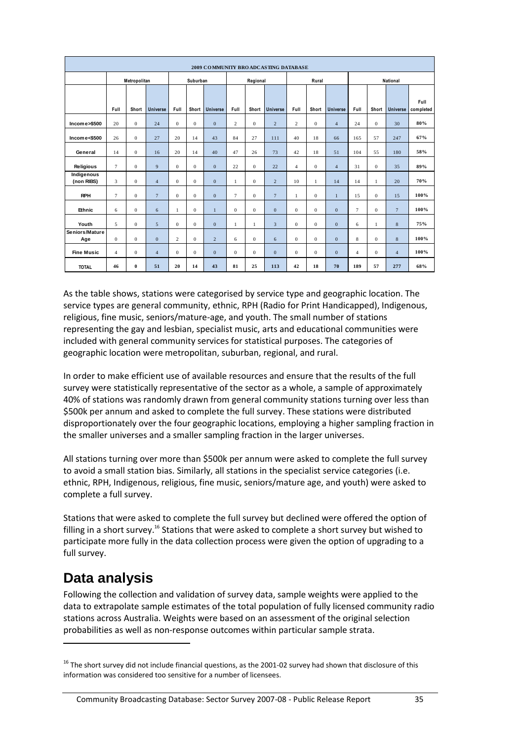| 2009 COMMUNITY BROADCASTING DATABASE |                         |                  |                 |              |              |                 |                  |                  |                         |                |              |                 |                |              |                 |                   |
|--------------------------------------|-------------------------|------------------|-----------------|--------------|--------------|-----------------|------------------|------------------|-------------------------|----------------|--------------|-----------------|----------------|--------------|-----------------|-------------------|
| Metropolitan                         |                         |                  |                 | Suburban     |              |                 | Regional         |                  |                         | Rural          |              |                 | National       |              |                 |                   |
|                                      |                         |                  |                 |              |              |                 |                  |                  |                         |                |              |                 |                |              |                 |                   |
|                                      | Full                    | Short            | <b>Universe</b> | Full         | Short        | <b>Universe</b> | Full             | Short            | <b>Universe</b>         | Full           | Short        | <b>Universe</b> | Full           | Short        | <b>Universe</b> | Full<br>completed |
| Income>\$500                         | 20                      | $\boldsymbol{0}$ | 24              | $\bf{0}$     | $\mathbf{0}$ | $\mathbf{0}$    | $\overline{c}$   | $\boldsymbol{0}$ | $\sqrt{2}$              | $\overline{c}$ | $\mathbf{0}$ | $\overline{4}$  | 24             | $\bf{0}$     | 30              | 80%               |
| Income<\$500                         | 26                      | $\boldsymbol{0}$ | 27              | 20           | 14           | 43              | 84               | 27               | 111                     | 40             | 18           | 66              | 165            | 57           | 247             | 67%               |
| General                              | 14                      | $\mathbf{0}$     | 16              | 20           | 14           | 40              | 47               | 26               | 73                      | 42             | 18           | 51              | 104            | 55           | 180             | 58%               |
| Religious                            | $\overline{7}$          | $\mathbf{0}$     | 9               | $\mathbf{0}$ | $\mathbf{0}$ | $\mathbf{0}$    | 22               | $\mathbf{0}$     | 22                      | $\overline{4}$ | $\mathbf{0}$ | $\overline{4}$  | 31             | $\mathbf{0}$ | 35              | 89%               |
| Indigenous<br>(non RIBS)             | 3                       | $\mathbf{0}$     | $\overline{4}$  | $\mathbf{0}$ | $\mathbf{0}$ | $\mathbf{0}$    | $\mathbf{1}$     | $\mathbf{0}$     | $\sqrt{2}$              | 10             | 1            | 14              | 14             | 1            | 20              | 70%               |
| <b>RPH</b>                           | $\overline{7}$          | $\overline{0}$   | $\overline{7}$  | $\mathbf{0}$ | $\mathbf{0}$ | $\mathbf{0}$    | $\overline{7}$   | $\mathbf{0}$     | $\overline{7}$          | $\mathbf{1}$   | $\mathbf{0}$ | $\mathbf{1}$    | 15             | $\mathbf{0}$ | 15              | 100%              |
| Ethnic                               | 6                       | $\overline{0}$   | 6               | 1            | $\mathbf{0}$ | $\mathbf{1}$    | $\mathbf{0}$     | $\mathbf{0}$     | $\mathbf{0}$            | $\mathbf{0}$   | $\mathbf{0}$ | $\overline{0}$  | 7              | $\mathbf{0}$ | $7\overline{ }$ | 100%              |
| Youth                                | 5                       | $\overline{0}$   | 5               | $\mathbf{0}$ | $\mathbf{0}$ | $\mathbf{0}$    | $\mathbf{1}$     | 1                | $\overline{\mathbf{3}}$ | $\Omega$       | $\Omega$     | $\Omega$        | 6              | $\mathbf{1}$ | 8               | 75%               |
| Seniors/Mature<br>Age                | $\mathbf{0}$            | $\overline{0}$   | $\mathbf{0}$    | 2            | $\mathbf{0}$ | $\overline{2}$  | 6                | $\mathbf{0}$     | 6                       | $\Omega$       | $\Omega$     | $\overline{0}$  | 8              | $\Omega$     | 8               | 100%              |
| <b>Fine Music</b>                    | $\overline{\mathbf{4}}$ | $\boldsymbol{0}$ | $\overline{4}$  | $\mathbf{0}$ | $\mathbf 0$  | $\mathbf{0}$    | $\boldsymbol{0}$ | $\bf{0}$         | $\boldsymbol{0}$        | $\mathbf{0}$   | $\mathbf{0}$ | $\overline{0}$  | $\overline{4}$ | $\mathbf{0}$ | $\overline{4}$  | 100%              |
| <b>TOTAL</b>                         | 46                      | $\bf{0}$         | 51              | 20           | 14           | 43              | 81               | 25               | 113                     | 42             | 18           | 70              | 189            | 57           | 277             | 68%               |

As the table shows, stations were categorised by service type and geographic location. The service types are general community, ethnic, RPH (Radio for Print Handicapped), Indigenous, religious, fine music, seniors/mature-age, and youth. The small number of stations representing the gay and lesbian, specialist music, arts and educational communities were included with general community services for statistical purposes. The categories of geographic location were metropolitan, suburban, regional, and rural.

In order to make efficient use of available resources and ensure that the results of the full survey were statistically representative of the sector as a whole, a sample of approximately 40% of stations was randomly drawn from general community stations turning over less than \$500k per annum and asked to complete the full survey. These stations were distributed disproportionately over the four geographic locations, employing a higher sampling fraction in the smaller universes and a smaller sampling fraction in the larger universes.

All stations turning over more than \$500k per annum were asked to complete the full survey to avoid a small station bias. Similarly, all stations in the specialist service categories (i.e. ethnic, RPH, Indigenous, religious, fine music, seniors/mature age, and youth) were asked to complete a full survey.

Stations that were asked to complete the full survey but declined were offered the option of filling in a short survey.<sup>16</sup> Stations that were asked to complete a short survey but wished to participate more fully in the data collection process were given the option of upgrading to a full survey.

# <span id="page-38-0"></span>**Data analysis**

1

Following the collection and validation of survey data, sample weights were applied to the data to extrapolate sample estimates of the total population of fully licensed community radio stations across Australia. Weights were based on an assessment of the original selection probabilities as well as non-response outcomes within particular sample strata.

 $16$  The short survey did not include financial questions, as the 2001-02 survey had shown that disclosure of this information was considered too sensitive for a number of licensees.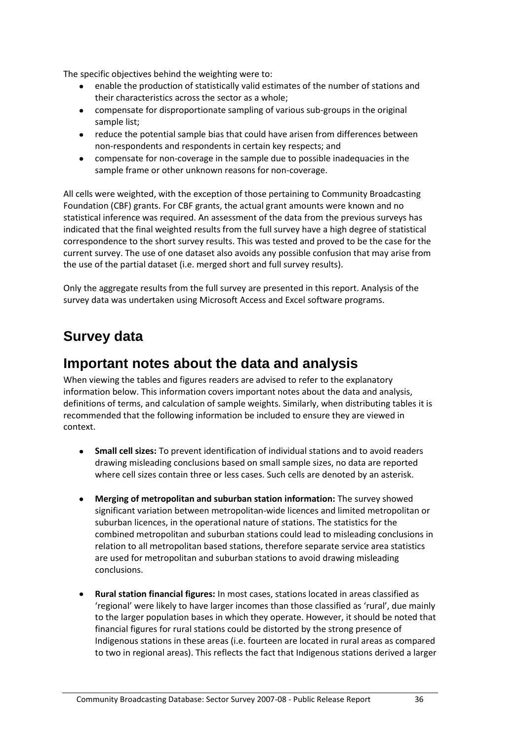The specific objectives behind the weighting were to:

- enable the production of statistically valid estimates of the number of stations and  $\bullet$ their characteristics across the sector as a whole;
- compensate for disproportionate sampling of various sub-groups in the original sample list;
- reduce the potential sample bias that could have arisen from differences between non-respondents and respondents in certain key respects; and
- $\bullet$ compensate for non-coverage in the sample due to possible inadequacies in the sample frame or other unknown reasons for non-coverage.

All cells were weighted, with the exception of those pertaining to Community Broadcasting Foundation (CBF) grants. For CBF grants, the actual grant amounts were known and no statistical inference was required. An assessment of the data from the previous surveys has indicated that the final weighted results from the full survey have a high degree of statistical correspondence to the short survey results. This was tested and proved to be the case for the current survey. The use of one dataset also avoids any possible confusion that may arise from the use of the partial dataset (i.e. merged short and full survey results).

Only the aggregate results from the full survey are presented in this report. Analysis of the survey data was undertaken using Microsoft Access and Excel software programs.

# <span id="page-39-0"></span>**Survey data**

### <span id="page-39-1"></span>**Important notes about the data and analysis**

When viewing the tables and figures readers are advised to refer to the explanatory information below. This information covers important notes about the data and analysis, definitions of terms, and calculation of sample weights. Similarly, when distributing tables it is recommended that the following information be included to ensure they are viewed in context.

- **Small cell sizes:** To prevent identification of individual stations and to avoid readers  $\bullet$ drawing misleading conclusions based on small sample sizes, no data are reported where cell sizes contain three or less cases. Such cells are denoted by an asterisk.
- **Merging of metropolitan and suburban station information:** The survey showed  $\bullet$ significant variation between metropolitan-wide licences and limited metropolitan or suburban licences, in the operational nature of stations. The statistics for the combined metropolitan and suburban stations could lead to misleading conclusions in relation to all metropolitan based stations, therefore separate service area statistics are used for metropolitan and suburban stations to avoid drawing misleading conclusions.
- **Rural station financial figures:** In most cases, stations located in areas classified as 'regional' were likely to have larger incomes than those classified as 'rural', due mainly to the larger population bases in which they operate. However, it should be noted that financial figures for rural stations could be distorted by the strong presence of Indigenous stations in these areas (i.e. fourteen are located in rural areas as compared to two in regional areas). This reflects the fact that Indigenous stations derived a larger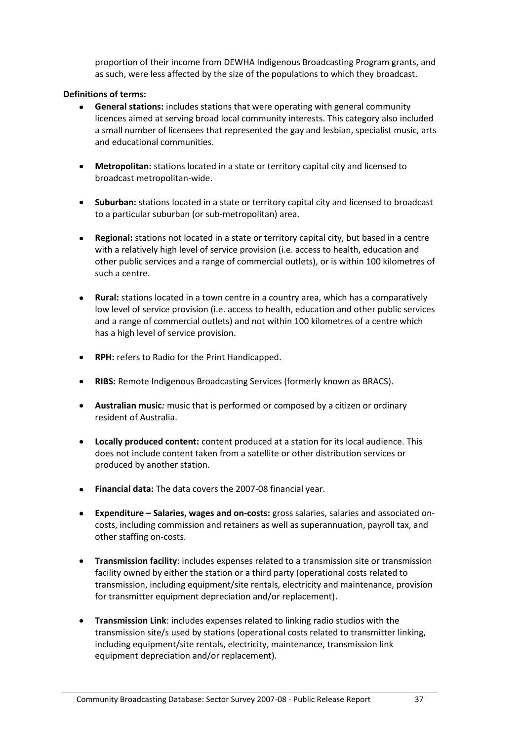proportion of their income from DEWHA Indigenous Broadcasting Program grants, and as such, were less affected by the size of the populations to which they broadcast.

#### <span id="page-40-0"></span>**Definitions of terms:**

- **General stations:** includes stations that were operating with general community licences aimed at serving broad local community interests. This category also included a small number of licensees that represented the gay and lesbian, specialist music, arts and educational communities.
- **Metropolitan:** stations located in a state or territory capital city and licensed to  $\bullet$  . broadcast metropolitan-wide.
- **Suburban:** stations located in a state or territory capital city and licensed to broadcast  $\bullet$ to a particular suburban (or sub-metropolitan) area.
- **Regional:** stations not located in a state or territory capital city, but based in a centre  $\bullet$ with a relatively high level of service provision (i.e. access to health, education and other public services and a range of commercial outlets), or is within 100 kilometres of such a centre.
- **Rural:** stations located in a town centre in a country area, which has a comparatively low level of service provision (i.e. access to health, education and other public services and a range of commercial outlets) and not within 100 kilometres of a centre which has a high level of service provision.
- **RPH:** refers to Radio for the Print Handicapped.
- **RIBS:** Remote Indigenous Broadcasting Services (formerly known as BRACS).
- **Australian music***:* music that is performed or composed by a citizen or ordinary resident of Australia.
- **Locally produced content:** content produced at a station for its local audience. This does not include content taken from a satellite or other distribution services or produced by another station.
- **Financial data:** The data covers the 2007-08 financial year.
- $\bullet$  . **Expenditure – Salaries, wages and on-costs:** gross salaries, salaries and associated oncosts, including commission and retainers as well as superannuation, payroll tax, and other staffing on-costs.
- **Transmission facility**: includes expenses related to a transmission site or transmission facility owned by either the station or a third party (operational costs related to transmission, including equipment/site rentals, electricity and maintenance, provision for transmitter equipment depreciation and/or replacement).
- **Transmission Link**: includes expenses related to linking radio studios with the transmission site/s used by stations (operational costs related to transmitter linking, including equipment/site rentals, electricity, maintenance, transmission link equipment depreciation and/or replacement).